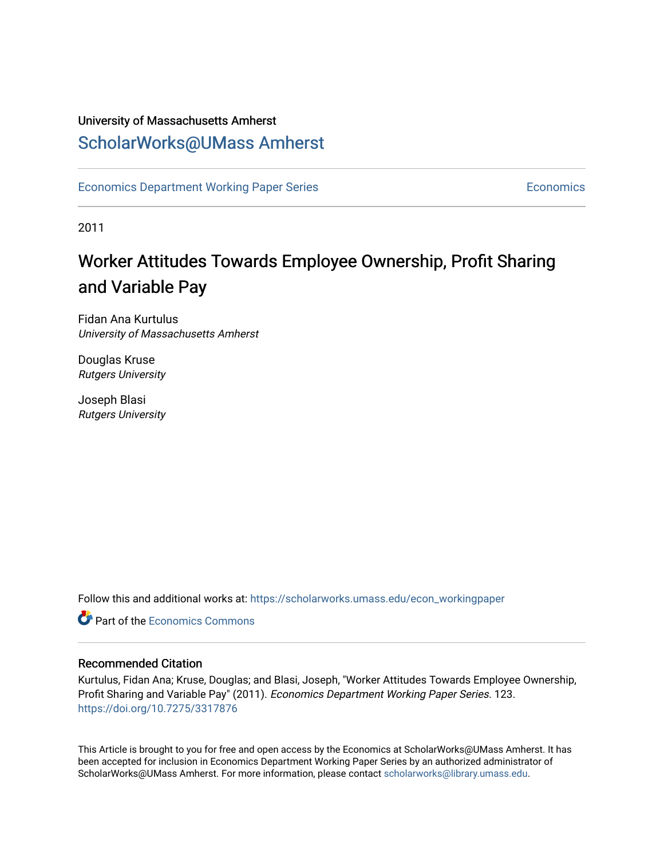### University of Massachusetts Amherst [ScholarWorks@UMass Amherst](https://scholarworks.umass.edu/)

[Economics Department Working Paper Series](https://scholarworks.umass.edu/econ_workingpaper) **Economics** [Economics](https://scholarworks.umass.edu/economics) Economics

2011

## Worker Attitudes Towards Employee Ownership, Profit Sharing and Variable Pay

Fidan Ana Kurtulus University of Massachusetts Amherst

Douglas Kruse Rutgers University

Joseph Blasi Rutgers University

Follow this and additional works at: [https://scholarworks.umass.edu/econ\\_workingpaper](https://scholarworks.umass.edu/econ_workingpaper?utm_source=scholarworks.umass.edu%2Fecon_workingpaper%2F123&utm_medium=PDF&utm_campaign=PDFCoverPages) 

**C** Part of the [Economics Commons](http://network.bepress.com/hgg/discipline/340?utm_source=scholarworks.umass.edu%2Fecon_workingpaper%2F123&utm_medium=PDF&utm_campaign=PDFCoverPages)

#### Recommended Citation

Kurtulus, Fidan Ana; Kruse, Douglas; and Blasi, Joseph, "Worker Attitudes Towards Employee Ownership, Profit Sharing and Variable Pay" (2011). Economics Department Working Paper Series. 123. <https://doi.org/10.7275/3317876>

This Article is brought to you for free and open access by the Economics at ScholarWorks@UMass Amherst. It has been accepted for inclusion in Economics Department Working Paper Series by an authorized administrator of ScholarWorks@UMass Amherst. For more information, please contact [scholarworks@library.umass.edu.](mailto:scholarworks@library.umass.edu)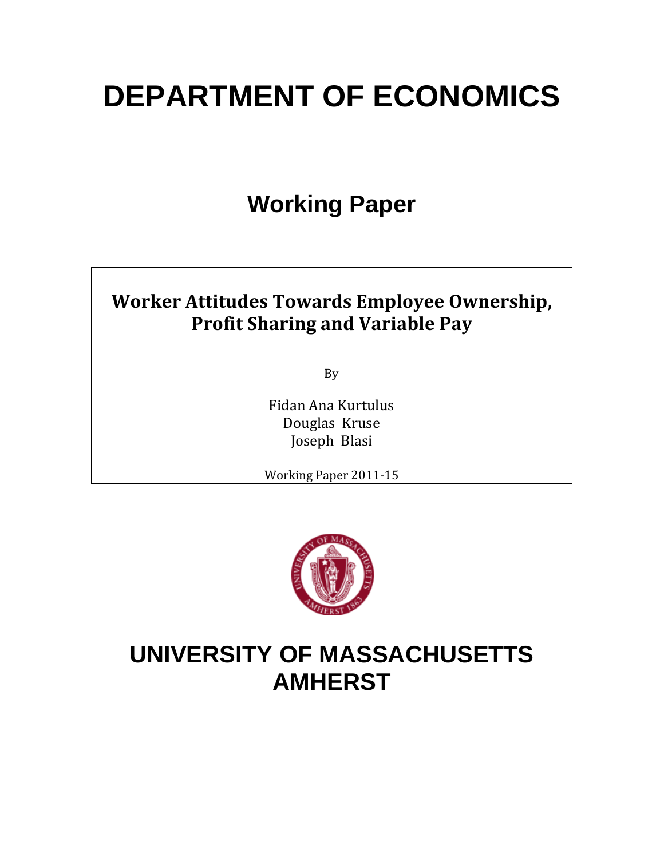# **DEPARTMENT OF ECONOMICS**

# **Working Paper**

## **Worker Attitudes Towards Employee Ownership, Profit Sharing and Variable Pay**

By

Fidan Ana Kurtulus Douglas Kruse Joseph Blasi

Working Paper 2011‐15



# **UNIVERSITY OF MASSACHUSETTS AMHERST**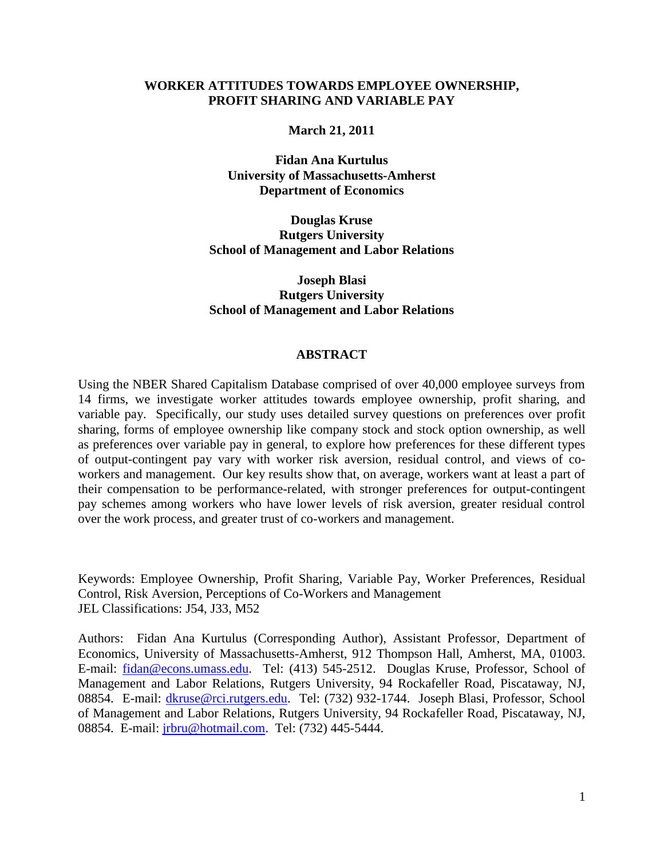#### **WORKER ATTITUDES TOWARDS EMPLOYEE OWNERSHIP, PROFIT SHARING AND VARIABLE PAY**

**March 21, 2011**

**Fidan Ana Kurtulus University of Massachusetts-Amherst Department of Economics**

**Douglas Kruse Rutgers University School of Management and Labor Relations**

**Joseph Blasi Rutgers University School of Management and Labor Relations**

#### **ABSTRACT**

Using the NBER Shared Capitalism Database comprised of over 40,000 employee surveys from 14 firms, we investigate worker attitudes towards employee ownership, profit sharing, and variable pay. Specifically, our study uses detailed survey questions on preferences over profit sharing, forms of employee ownership like company stock and stock option ownership, as well as preferences over variable pay in general, to explore how preferences for these different types of output-contingent pay vary with worker risk aversion, residual control, and views of coworkers and management. Our key results show that, on average, workers want at least a part of their compensation to be performance-related, with stronger preferences for output-contingent pay schemes among workers who have lower levels of risk aversion, greater residual control over the work process, and greater trust of co-workers and management.

Keywords: Employee Ownership, Profit Sharing, Variable Pay, Worker Preferences, Residual Control, Risk Aversion, Perceptions of Co-Workers and Management JEL Classifications: J54, J33, M52

Authors: Fidan Ana Kurtulus (Corresponding Author), Assistant Professor, Department of Economics, University of Massachusetts-Amherst, 912 Thompson Hall, Amherst, MA, 01003. E-mail: [fidan@econs.umass.edu.](mailto:fidan@econs.umass.edu) Tel: (413) 545-2512. Douglas Kruse, Professor, School of Management and Labor Relations, Rutgers University, 94 Rockafeller Road, Piscataway, NJ, 08854. E-mail: [dkruse@rci.rutgers.edu.](mailto:dkruse@rci.rutgers.edu) Tel: (732) 932-1744. Joseph Blasi, Professor, School of Management and Labor Relations, Rutgers University, 94 Rockafeller Road, Piscataway, NJ, 08854. E-mail: [jrbru@hotmail.com.](mailto:jrbru@hotmail.com) Tel: (732) 445-5444.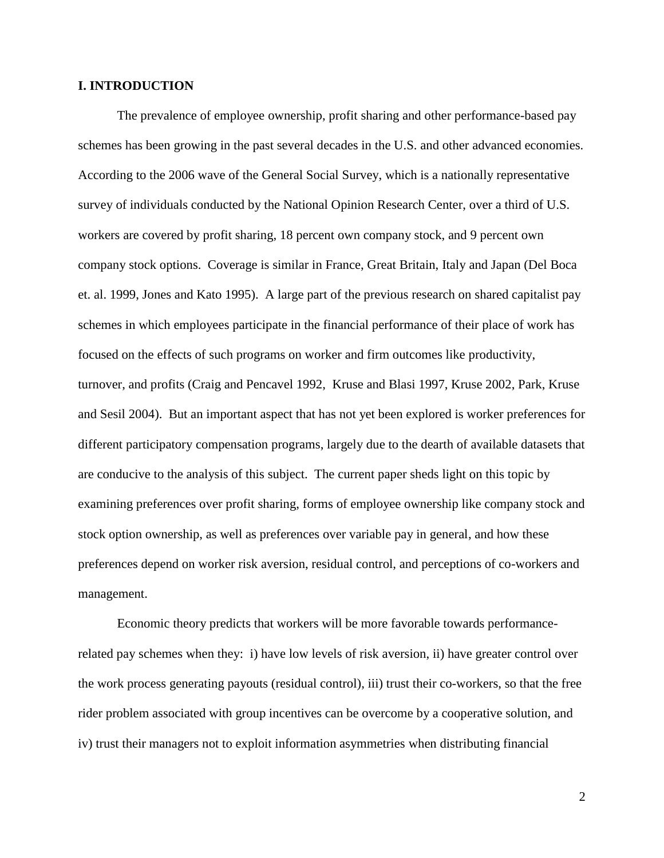#### **I. INTRODUCTION**

The prevalence of employee ownership, profit sharing and other performance-based pay schemes has been growing in the past several decades in the U.S. and other advanced economies. According to the 2006 wave of the General Social Survey, which is a nationally representative survey of individuals conducted by the National Opinion Research Center, over a third of U.S. workers are covered by profit sharing, 18 percent own company stock, and 9 percent own company stock options. Coverage is similar in France, Great Britain, Italy and Japan (Del Boca et. al. 1999, Jones and Kato 1995). A large part of the previous research on shared capitalist pay schemes in which employees participate in the financial performance of their place of work has focused on the effects of such programs on worker and firm outcomes like productivity, turnover, and profits (Craig and Pencavel 1992, Kruse and Blasi 1997, Kruse 2002, Park, Kruse and Sesil 2004). But an important aspect that has not yet been explored is worker preferences for different participatory compensation programs, largely due to the dearth of available datasets that are conducive to the analysis of this subject. The current paper sheds light on this topic by examining preferences over profit sharing, forms of employee ownership like company stock and stock option ownership, as well as preferences over variable pay in general, and how these preferences depend on worker risk aversion, residual control, and perceptions of co-workers and management.

Economic theory predicts that workers will be more favorable towards performancerelated pay schemes when they: i) have low levels of risk aversion, ii) have greater control over the work process generating payouts (residual control), iii) trust their co-workers, so that the free rider problem associated with group incentives can be overcome by a cooperative solution, and iv) trust their managers not to exploit information asymmetries when distributing financial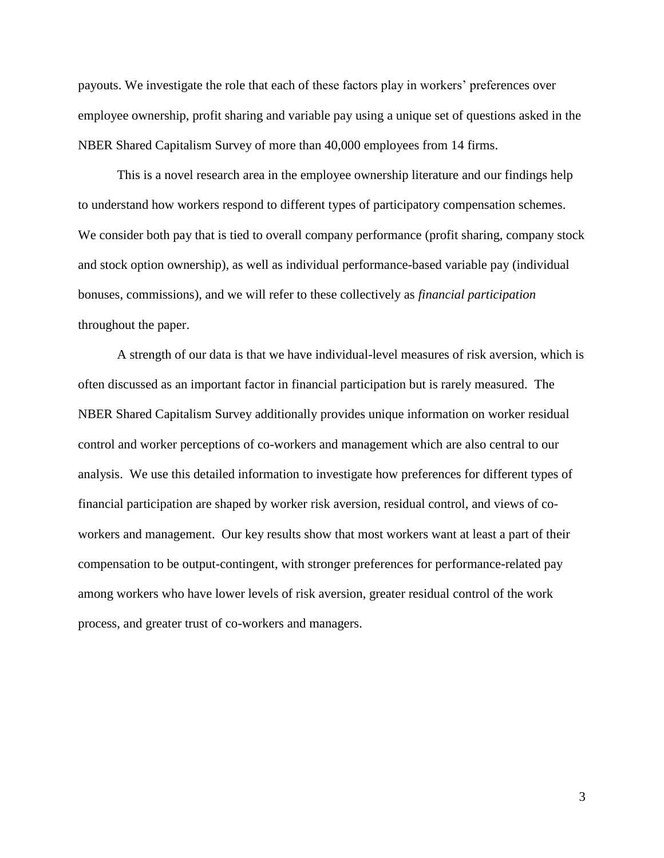payouts. We investigate the role that each of these factors play in workers' preferences over employee ownership, profit sharing and variable pay using a unique set of questions asked in the NBER Shared Capitalism Survey of more than 40,000 employees from 14 firms.

This is a novel research area in the employee ownership literature and our findings help to understand how workers respond to different types of participatory compensation schemes. We consider both pay that is tied to overall company performance (profit sharing, company stock and stock option ownership), as well as individual performance-based variable pay (individual bonuses, commissions), and we will refer to these collectively as *financial participation* throughout the paper.

A strength of our data is that we have individual-level measures of risk aversion, which is often discussed as an important factor in financial participation but is rarely measured. The NBER Shared Capitalism Survey additionally provides unique information on worker residual control and worker perceptions of co-workers and management which are also central to our analysis. We use this detailed information to investigate how preferences for different types of financial participation are shaped by worker risk aversion, residual control, and views of coworkers and management. Our key results show that most workers want at least a part of their compensation to be output-contingent, with stronger preferences for performance-related pay among workers who have lower levels of risk aversion, greater residual control of the work process, and greater trust of co-workers and managers.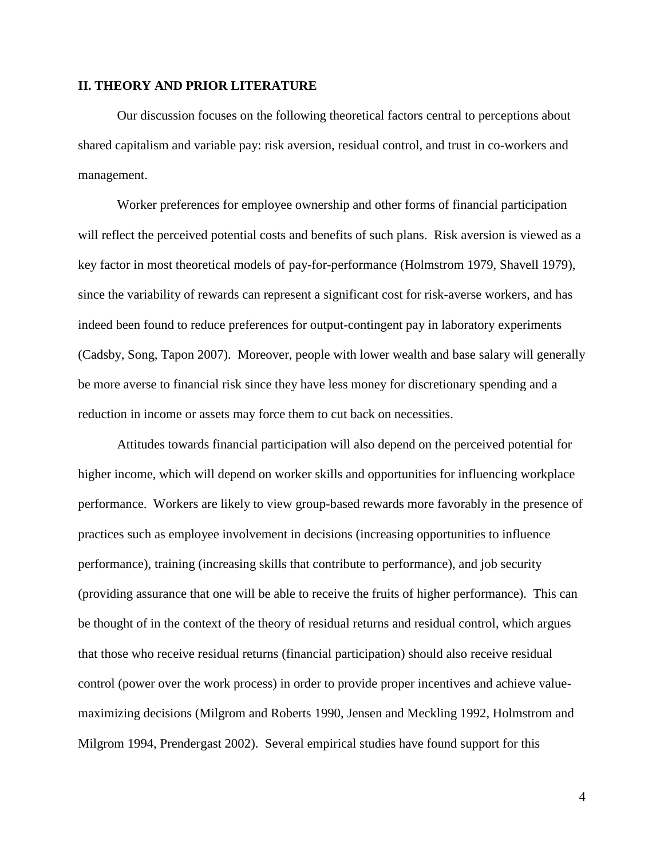#### **II. THEORY AND PRIOR LITERATURE**

Our discussion focuses on the following theoretical factors central to perceptions about shared capitalism and variable pay: risk aversion, residual control, and trust in co-workers and management.

Worker preferences for employee ownership and other forms of financial participation will reflect the perceived potential costs and benefits of such plans. Risk aversion is viewed as a key factor in most theoretical models of pay-for-performance (Holmstrom 1979, Shavell 1979), since the variability of rewards can represent a significant cost for risk-averse workers, and has indeed been found to reduce preferences for output-contingent pay in laboratory experiments (Cadsby, Song, Tapon 2007). Moreover, people with lower wealth and base salary will generally be more averse to financial risk since they have less money for discretionary spending and a reduction in income or assets may force them to cut back on necessities.

Attitudes towards financial participation will also depend on the perceived potential for higher income, which will depend on worker skills and opportunities for influencing workplace performance. Workers are likely to view group-based rewards more favorably in the presence of practices such as employee involvement in decisions (increasing opportunities to influence performance), training (increasing skills that contribute to performance), and job security (providing assurance that one will be able to receive the fruits of higher performance). This can be thought of in the context of the theory of residual returns and residual control, which argues that those who receive residual returns (financial participation) should also receive residual control (power over the work process) in order to provide proper incentives and achieve valuemaximizing decisions (Milgrom and Roberts 1990, Jensen and Meckling 1992, Holmstrom and Milgrom 1994, Prendergast 2002). Several empirical studies have found support for this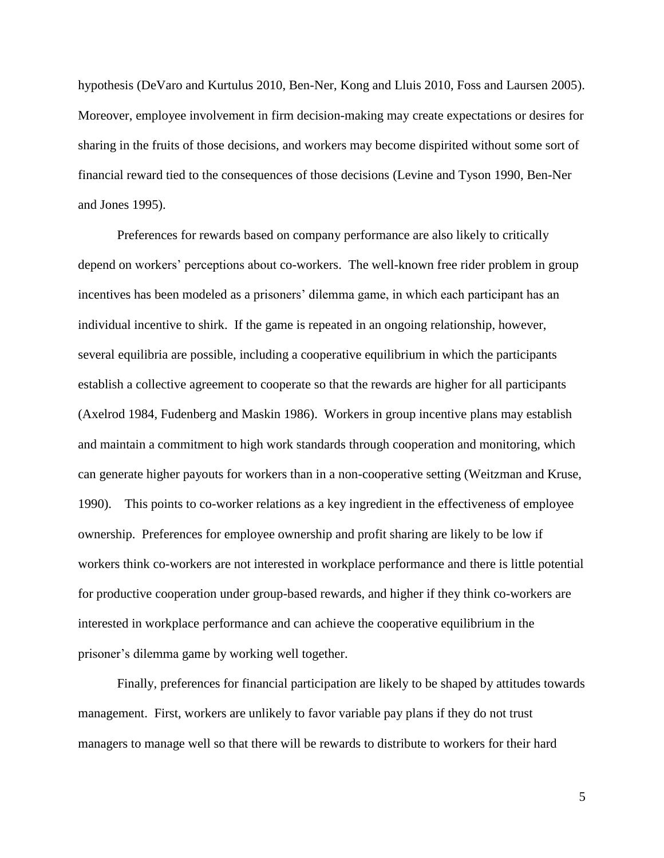hypothesis (DeVaro and Kurtulus 2010, Ben-Ner, Kong and Lluis 2010, Foss and Laursen 2005). Moreover, employee involvement in firm decision-making may create expectations or desires for sharing in the fruits of those decisions, and workers may become dispirited without some sort of financial reward tied to the consequences of those decisions (Levine and Tyson 1990, Ben-Ner and Jones 1995).

Preferences for rewards based on company performance are also likely to critically depend on workers' perceptions about co-workers. The well-known free rider problem in group incentives has been modeled as a prisoners' dilemma game, in which each participant has an individual incentive to shirk. If the game is repeated in an ongoing relationship, however, several equilibria are possible, including a cooperative equilibrium in which the participants establish a collective agreement to cooperate so that the rewards are higher for all participants (Axelrod 1984, Fudenberg and Maskin 1986). Workers in group incentive plans may establish and maintain a commitment to high work standards through cooperation and monitoring, which can generate higher payouts for workers than in a non-cooperative setting (Weitzman and Kruse, 1990). This points to co-worker relations as a key ingredient in the effectiveness of employee ownership. Preferences for employee ownership and profit sharing are likely to be low if workers think co-workers are not interested in workplace performance and there is little potential for productive cooperation under group-based rewards, and higher if they think co-workers are interested in workplace performance and can achieve the cooperative equilibrium in the prisoner's dilemma game by working well together.

Finally, preferences for financial participation are likely to be shaped by attitudes towards management. First, workers are unlikely to favor variable pay plans if they do not trust managers to manage well so that there will be rewards to distribute to workers for their hard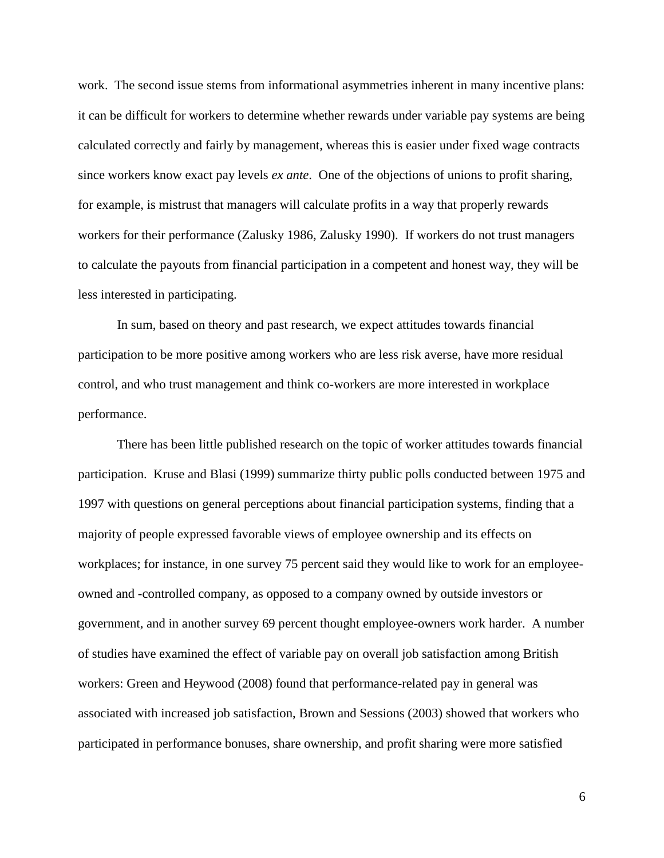work. The second issue stems from informational asymmetries inherent in many incentive plans: it can be difficult for workers to determine whether rewards under variable pay systems are being calculated correctly and fairly by management, whereas this is easier under fixed wage contracts since workers know exact pay levels *ex ante*. One of the objections of unions to profit sharing, for example, is mistrust that managers will calculate profits in a way that properly rewards workers for their performance (Zalusky 1986, Zalusky 1990). If workers do not trust managers to calculate the payouts from financial participation in a competent and honest way, they will be less interested in participating.

In sum, based on theory and past research, we expect attitudes towards financial participation to be more positive among workers who are less risk averse, have more residual control, and who trust management and think co-workers are more interested in workplace performance.

There has been little published research on the topic of worker attitudes towards financial participation. Kruse and Blasi (1999) summarize thirty public polls conducted between 1975 and 1997 with questions on general perceptions about financial participation systems, finding that a majority of people expressed favorable views of employee ownership and its effects on workplaces; for instance, in one survey 75 percent said they would like to work for an employeeowned and -controlled company, as opposed to a company owned by outside investors or government, and in another survey 69 percent thought employee-owners work harder. A number of studies have examined the effect of variable pay on overall job satisfaction among British workers: Green and Heywood (2008) found that performance-related pay in general was associated with increased job satisfaction, Brown and Sessions (2003) showed that workers who participated in performance bonuses, share ownership, and profit sharing were more satisfied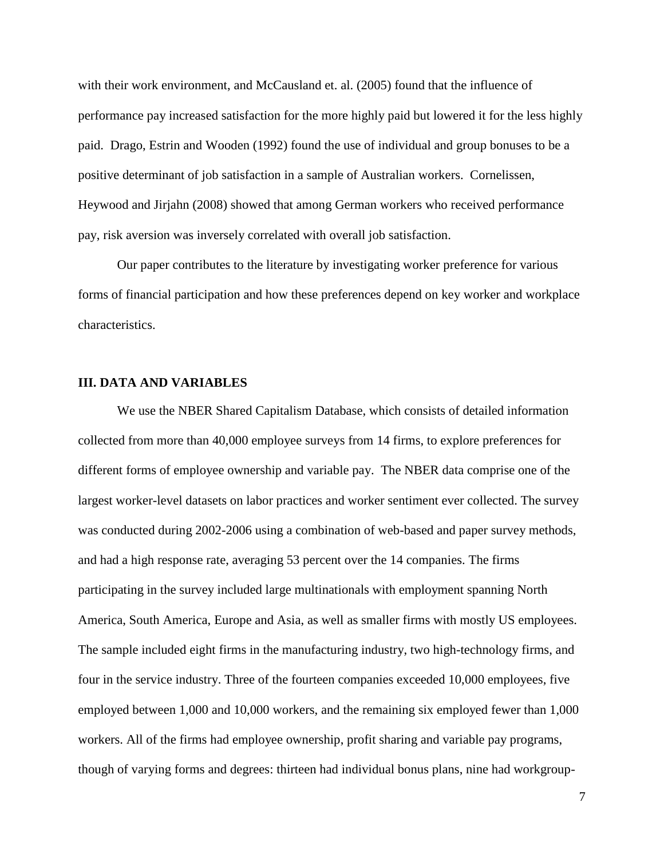with their work environment, and McCausland et. al. (2005) found that the influence of performance pay increased satisfaction for the more highly paid but lowered it for the less highly paid. Drago, Estrin and Wooden (1992) found the use of individual and group bonuses to be a positive determinant of job satisfaction in a sample of Australian workers. Cornelissen, Heywood and Jirjahn (2008) showed that among German workers who received performance pay, risk aversion was inversely correlated with overall job satisfaction.

Our paper contributes to the literature by investigating worker preference for various forms of financial participation and how these preferences depend on key worker and workplace characteristics.

#### **III. DATA AND VARIABLES**

We use the NBER Shared Capitalism Database, which consists of detailed information collected from more than 40,000 employee surveys from 14 firms, to explore preferences for different forms of employee ownership and variable pay. The NBER data comprise one of the largest worker-level datasets on labor practices and worker sentiment ever collected. The survey was conducted during 2002-2006 using a combination of web-based and paper survey methods, and had a high response rate, averaging 53 percent over the 14 companies. The firms participating in the survey included large multinationals with employment spanning North America, South America, Europe and Asia, as well as smaller firms with mostly US employees. The sample included eight firms in the manufacturing industry, two high-technology firms, and four in the service industry. Three of the fourteen companies exceeded 10,000 employees, five employed between 1,000 and 10,000 workers, and the remaining six employed fewer than 1,000 workers. All of the firms had employee ownership, profit sharing and variable pay programs, though of varying forms and degrees: thirteen had individual bonus plans, nine had workgroup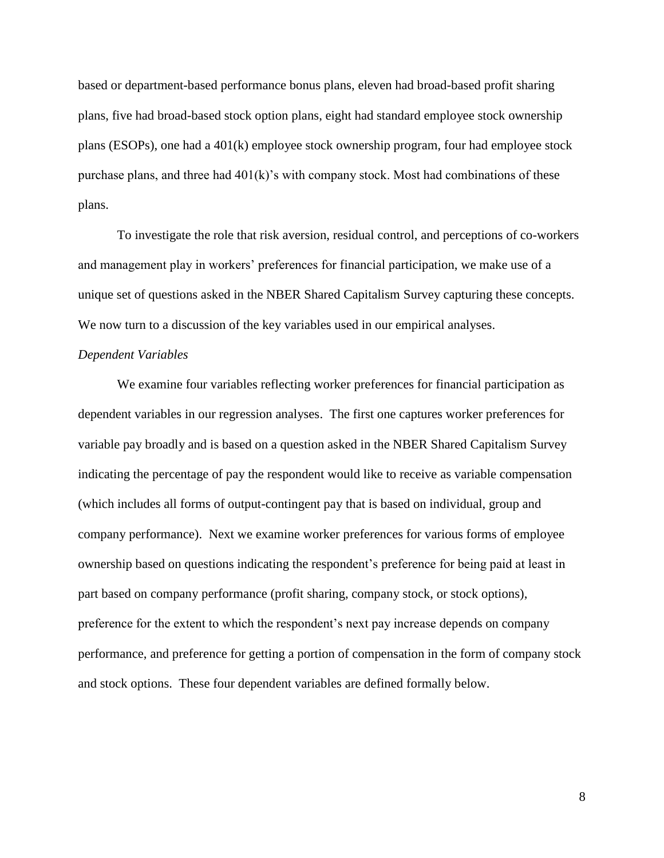based or department-based performance bonus plans, eleven had broad-based profit sharing plans, five had broad-based stock option plans, eight had standard employee stock ownership plans (ESOPs), one had a 401(k) employee stock ownership program, four had employee stock purchase plans, and three had 401(k)'s with company stock. Most had combinations of these plans.

To investigate the role that risk aversion, residual control, and perceptions of co-workers and management play in workers' preferences for financial participation, we make use of a unique set of questions asked in the NBER Shared Capitalism Survey capturing these concepts. We now turn to a discussion of the key variables used in our empirical analyses.

#### *Dependent Variables*

We examine four variables reflecting worker preferences for financial participation as dependent variables in our regression analyses. The first one captures worker preferences for variable pay broadly and is based on a question asked in the NBER Shared Capitalism Survey indicating the percentage of pay the respondent would like to receive as variable compensation (which includes all forms of output-contingent pay that is based on individual, group and company performance). Next we examine worker preferences for various forms of employee ownership based on questions indicating the respondent's preference for being paid at least in part based on company performance (profit sharing, company stock, or stock options), preference for the extent to which the respondent's next pay increase depends on company performance, and preference for getting a portion of compensation in the form of company stock and stock options. These four dependent variables are defined formally below.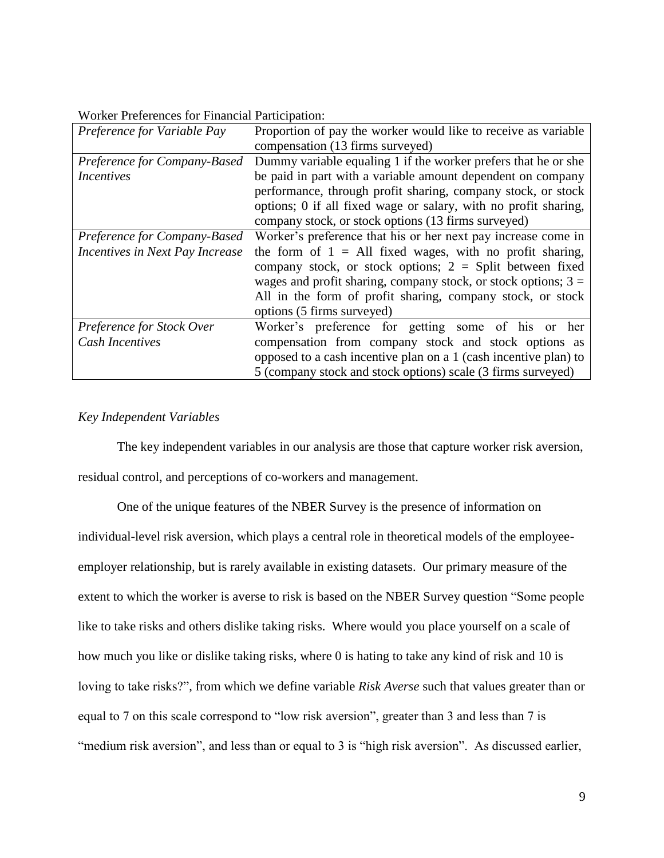| Preference for Variable Pay     | Proportion of pay the worker would like to receive as variable<br>compensation (13 firms surveyed) |
|---------------------------------|----------------------------------------------------------------------------------------------------|
| Preference for Company-Based    | Dummy variable equaling 1 if the worker prefers that he or she                                     |
| <i>Incentives</i>               | be paid in part with a variable amount dependent on company                                        |
|                                 | performance, through profit sharing, company stock, or stock                                       |
|                                 | options; 0 if all fixed wage or salary, with no profit sharing,                                    |
|                                 | company stock, or stock options (13 firms surveyed)                                                |
| Preference for Company-Based    | Worker's preference that his or her next pay increase come in                                      |
| Incentives in Next Pay Increase | the form of $1 = All$ fixed wages, with no profit sharing,                                         |
|                                 | company stock, or stock options; $2 =$ Split between fixed                                         |
|                                 | wages and profit sharing, company stock, or stock options; $3 =$                                   |
|                                 | All in the form of profit sharing, company stock, or stock                                         |
|                                 | options (5 firms surveyed)                                                                         |
| Preference for Stock Over       | Worker's preference for getting some of his or her                                                 |
| <b>Cash Incentives</b>          | compensation from company stock and stock options as                                               |
|                                 | opposed to a cash incentive plan on a 1 (cash incentive plan) to                                   |
|                                 | 5 (company stock and stock options) scale (3 firms surveyed)                                       |

Worker Preferences for Financial Participation:

#### *Key Independent Variables*

The key independent variables in our analysis are those that capture worker risk aversion, residual control, and perceptions of co-workers and management.

One of the unique features of the NBER Survey is the presence of information on individual-level risk aversion, which plays a central role in theoretical models of the employeeemployer relationship, but is rarely available in existing datasets. Our primary measure of the extent to which the worker is averse to risk is based on the NBER Survey question "Some people like to take risks and others dislike taking risks. Where would you place yourself on a scale of how much you like or dislike taking risks, where 0 is hating to take any kind of risk and 10 is loving to take risks?", from which we define variable *Risk Averse* such that values greater than or equal to 7 on this scale correspond to "low risk aversion", greater than 3 and less than 7 is "medium risk aversion", and less than or equal to 3 is "high risk aversion". As discussed earlier,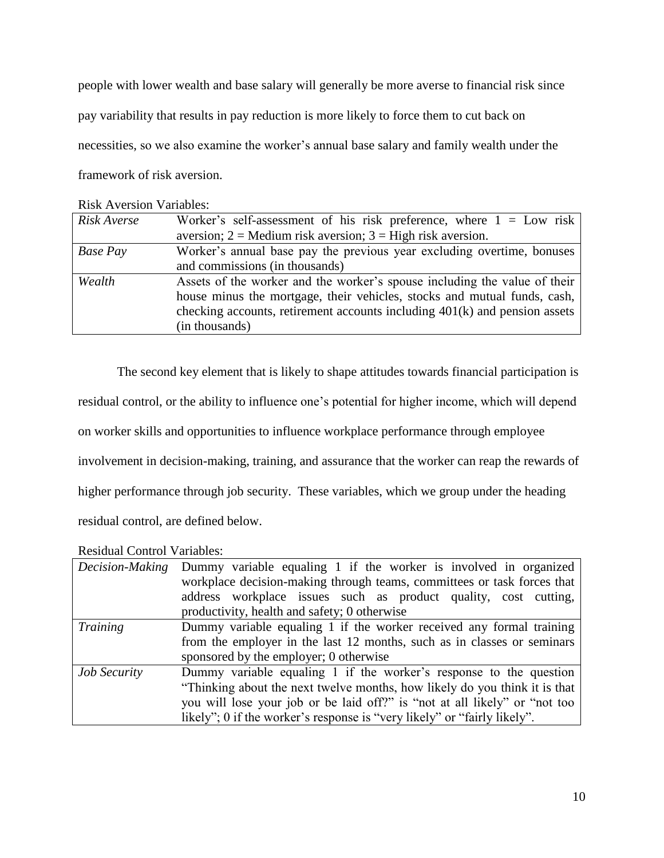people with lower wealth and base salary will generally be more averse to financial risk since pay variability that results in pay reduction is more likely to force them to cut back on necessities, so we also examine the worker's annual base salary and family wealth under the framework of risk aversion.

| $\mathbf{1}$    |                                                                              |
|-----------------|------------------------------------------------------------------------------|
| Risk Averse     | Worker's self-assessment of his risk preference, where $1 = Low risk$        |
|                 | aversion; $2 =$ Medium risk aversion; $3 =$ High risk aversion.              |
| <b>Base Pay</b> | Worker's annual base pay the previous year excluding overtime, bonuses       |
|                 | and commissions (in thousands)                                               |
| Wealth          | Assets of the worker and the worker's spouse including the value of their    |
|                 | house minus the mortgage, their vehicles, stocks and mutual funds, cash,     |
|                 | checking accounts, retirement accounts including $401(k)$ and pension assets |
|                 | (in thousands)                                                               |

Risk Aversion Variables:

The second key element that is likely to shape attitudes towards financial participation is residual control, or the ability to influence one's potential for higher income, which will depend on worker skills and opportunities to influence workplace performance through employee involvement in decision-making, training, and assurance that the worker can reap the rewards of higher performance through job security. These variables, which we group under the heading residual control, are defined below.

Residual Control Variables:

| Decision-Making     | Dummy variable equaling 1 if the worker is involved in organized           |
|---------------------|----------------------------------------------------------------------------|
|                     | workplace decision-making through teams, committees or task forces that    |
|                     | address workplace issues such as product quality, cost cutting,            |
|                     | productivity, health and safety; 0 otherwise                               |
| Training            | Dummy variable equaling 1 if the worker received any formal training       |
|                     | from the employer in the last 12 months, such as in classes or seminars    |
|                     | sponsored by the employer; 0 otherwise                                     |
| <b>Job Security</b> | Dummy variable equaling 1 if the worker's response to the question         |
|                     | "Thinking about the next twelve months, how likely do you think it is that |
|                     | you will lose your job or be laid off?" is "not at all likely" or "not too |
|                     | likely"; 0 if the worker's response is "very likely" or "fairly likely".   |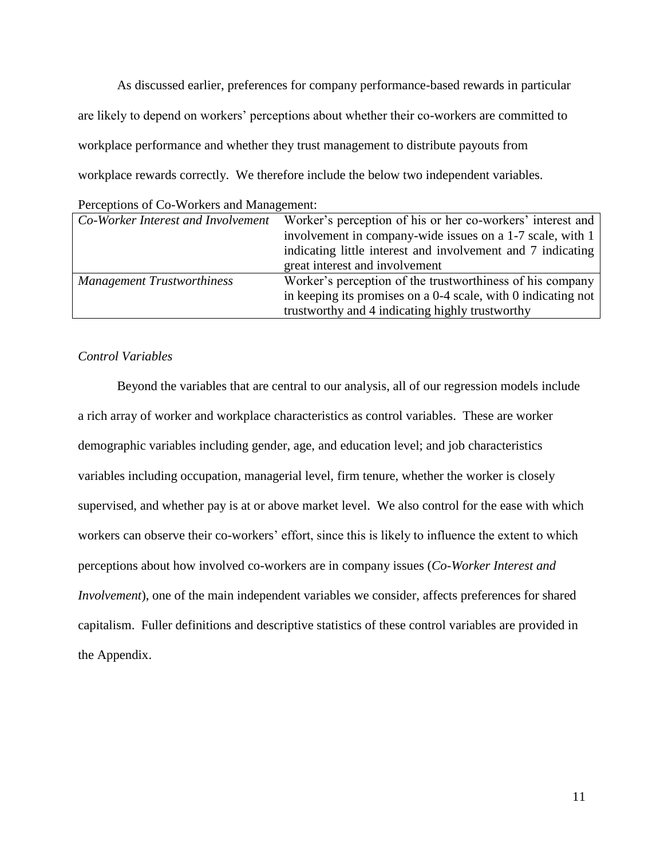As discussed earlier, preferences for company performance-based rewards in particular are likely to depend on workers' perceptions about whether their co-workers are committed to workplace performance and whether they trust management to distribute payouts from workplace rewards correctly. We therefore include the below two independent variables.

| Co-Worker Interest and Involvement | Worker's perception of his or her co-workers' interest and    |
|------------------------------------|---------------------------------------------------------------|
|                                    | involvement in company-wide issues on a 1-7 scale, with 1     |
|                                    | indicating little interest and involvement and 7 indicating   |
|                                    | great interest and involvement                                |
| <b>Management Trustworthiness</b>  | Worker's perception of the trustworthiness of his company     |
|                                    | in keeping its promises on a 0-4 scale, with 0 indicating not |
|                                    | trustworthy and 4 indicating highly trustworthy               |

| Perceptions of Co-Workers and Management: |  |
|-------------------------------------------|--|
|-------------------------------------------|--|

#### *Control Variables*

Beyond the variables that are central to our analysis, all of our regression models include a rich array of worker and workplace characteristics as control variables. These are worker demographic variables including gender, age, and education level; and job characteristics variables including occupation, managerial level, firm tenure, whether the worker is closely supervised, and whether pay is at or above market level. We also control for the ease with which workers can observe their co-workers' effort, since this is likely to influence the extent to which perceptions about how involved co-workers are in company issues (*Co-Worker Interest and Involvement*), one of the main independent variables we consider, affects preferences for shared capitalism. Fuller definitions and descriptive statistics of these control variables are provided in the Appendix.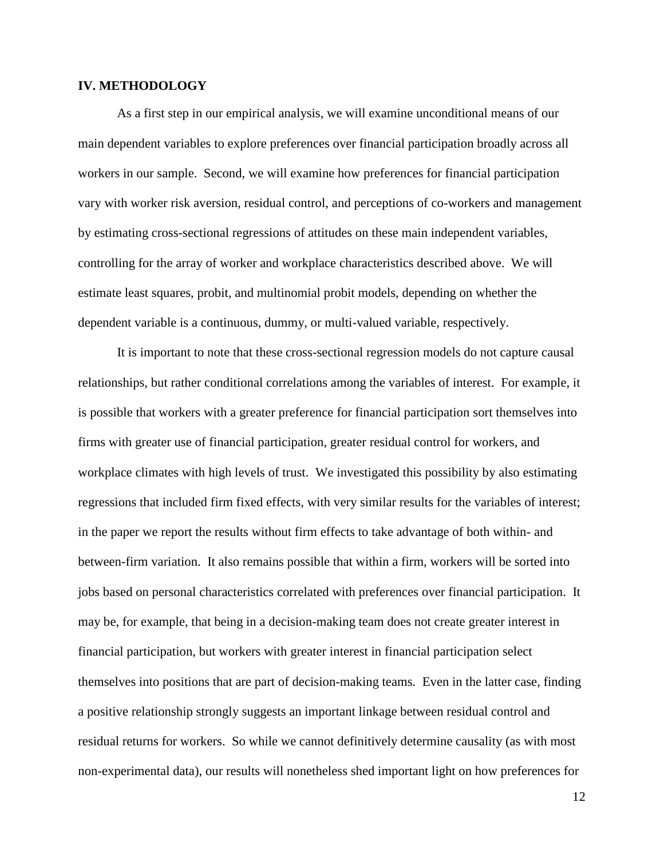#### **IV. METHODOLOGY**

As a first step in our empirical analysis, we will examine unconditional means of our main dependent variables to explore preferences over financial participation broadly across all workers in our sample. Second, we will examine how preferences for financial participation vary with worker risk aversion, residual control, and perceptions of co-workers and management by estimating cross-sectional regressions of attitudes on these main independent variables, controlling for the array of worker and workplace characteristics described above. We will estimate least squares, probit, and multinomial probit models, depending on whether the dependent variable is a continuous, dummy, or multi-valued variable, respectively.

It is important to note that these cross-sectional regression models do not capture causal relationships, but rather conditional correlations among the variables of interest. For example, it is possible that workers with a greater preference for financial participation sort themselves into firms with greater use of financial participation, greater residual control for workers, and workplace climates with high levels of trust. We investigated this possibility by also estimating regressions that included firm fixed effects, with very similar results for the variables of interest; in the paper we report the results without firm effects to take advantage of both within- and between-firm variation. It also remains possible that within a firm, workers will be sorted into jobs based on personal characteristics correlated with preferences over financial participation. It may be, for example, that being in a decision-making team does not create greater interest in financial participation, but workers with greater interest in financial participation select themselves into positions that are part of decision-making teams. Even in the latter case, finding a positive relationship strongly suggests an important linkage between residual control and residual returns for workers. So while we cannot definitively determine causality (as with most non-experimental data), our results will nonetheless shed important light on how preferences for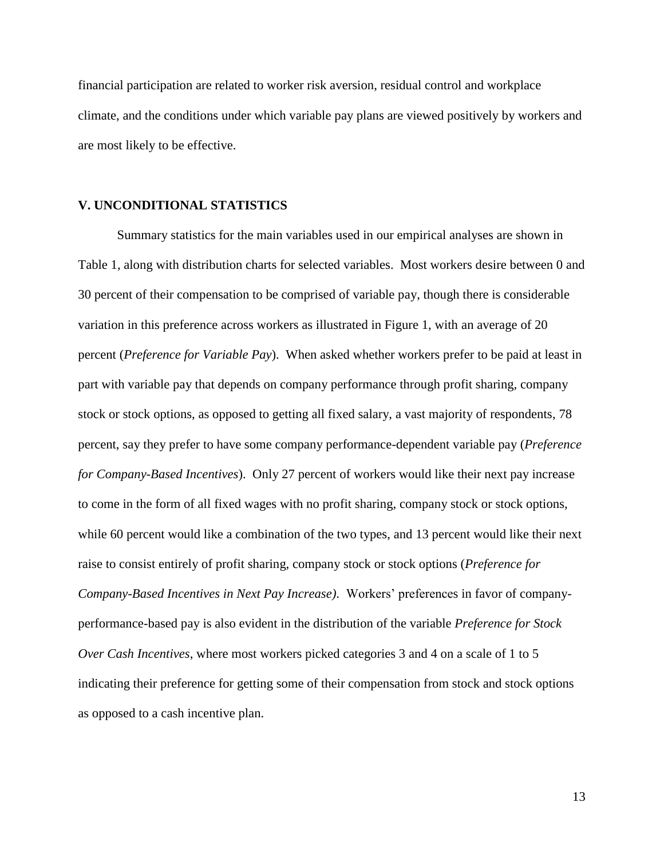financial participation are related to worker risk aversion, residual control and workplace climate, and the conditions under which variable pay plans are viewed positively by workers and are most likely to be effective.

#### **V. UNCONDITIONAL STATISTICS**

Summary statistics for the main variables used in our empirical analyses are shown in Table 1, along with distribution charts for selected variables. Most workers desire between 0 and 30 percent of their compensation to be comprised of variable pay, though there is considerable variation in this preference across workers as illustrated in Figure 1, with an average of 20 percent (*Preference for Variable Pay*). When asked whether workers prefer to be paid at least in part with variable pay that depends on company performance through profit sharing, company stock or stock options, as opposed to getting all fixed salary, a vast majority of respondents, 78 percent, say they prefer to have some company performance-dependent variable pay (*Preference for Company-Based Incentives*). Only 27 percent of workers would like their next pay increase to come in the form of all fixed wages with no profit sharing, company stock or stock options, while 60 percent would like a combination of the two types, and 13 percent would like their next raise to consist entirely of profit sharing, company stock or stock options (*Preference for Company-Based Incentives in Next Pay Increase)*. Workers' preferences in favor of companyperformance-based pay is also evident in the distribution of the variable *Preference for Stock Over Cash Incentives*, where most workers picked categories 3 and 4 on a scale of 1 to 5 indicating their preference for getting some of their compensation from stock and stock options as opposed to a cash incentive plan.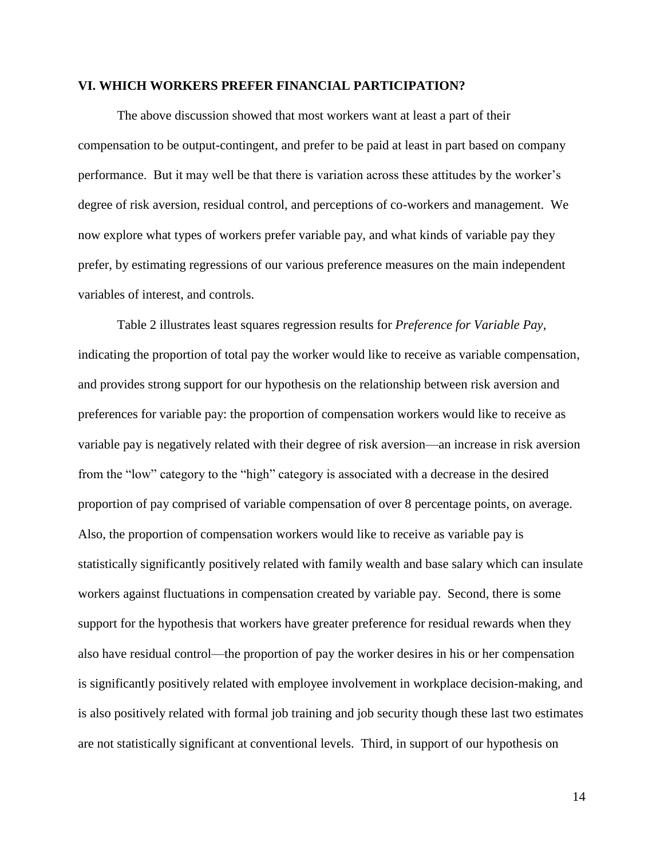#### **VI. WHICH WORKERS PREFER FINANCIAL PARTICIPATION?**

The above discussion showed that most workers want at least a part of their compensation to be output-contingent, and prefer to be paid at least in part based on company performance. But it may well be that there is variation across these attitudes by the worker's degree of risk aversion, residual control, and perceptions of co-workers and management. We now explore what types of workers prefer variable pay, and what kinds of variable pay they prefer, by estimating regressions of our various preference measures on the main independent variables of interest, and controls.

Table 2 illustrates least squares regression results for *Preference for Variable Pay*, indicating the proportion of total pay the worker would like to receive as variable compensation, and provides strong support for our hypothesis on the relationship between risk aversion and preferences for variable pay: the proportion of compensation workers would like to receive as variable pay is negatively related with their degree of risk aversion—an increase in risk aversion from the "low" category to the "high" category is associated with a decrease in the desired proportion of pay comprised of variable compensation of over 8 percentage points, on average. Also, the proportion of compensation workers would like to receive as variable pay is statistically significantly positively related with family wealth and base salary which can insulate workers against fluctuations in compensation created by variable pay. Second, there is some support for the hypothesis that workers have greater preference for residual rewards when they also have residual control—the proportion of pay the worker desires in his or her compensation is significantly positively related with employee involvement in workplace decision-making, and is also positively related with formal job training and job security though these last two estimates are not statistically significant at conventional levels. Third, in support of our hypothesis on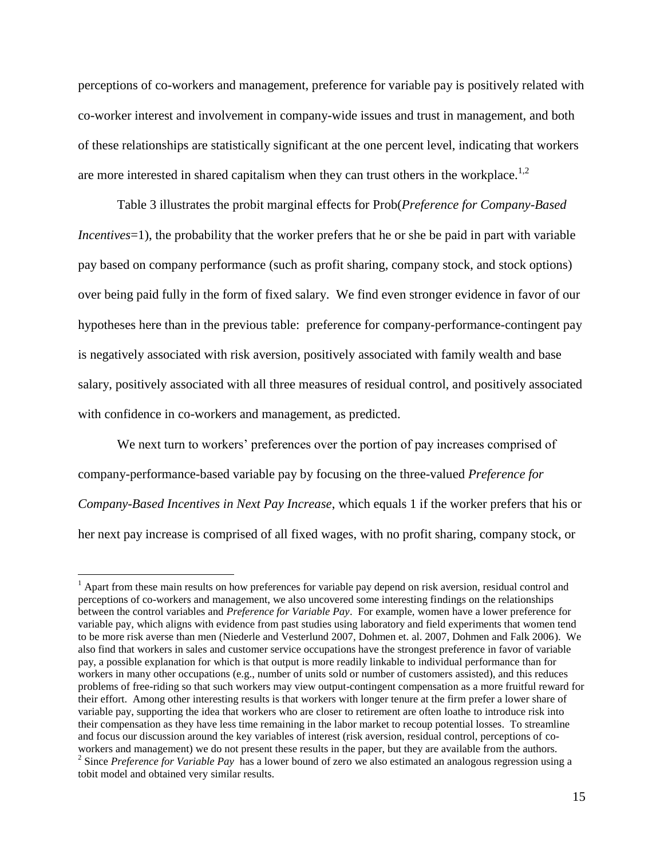perceptions of co-workers and management, preference for variable pay is positively related with co-worker interest and involvement in company-wide issues and trust in management, and both of these relationships are statistically significant at the one percent level, indicating that workers are more interested in shared capitalism when they can trust others in the workplace.<sup>1,2</sup>

Table 3 illustrates the probit marginal effects for Prob(*Preference for Company-Based Incentives*=1), the probability that the worker prefers that he or she be paid in part with variable pay based on company performance (such as profit sharing, company stock, and stock options) over being paid fully in the form of fixed salary. We find even stronger evidence in favor of our hypotheses here than in the previous table: preference for company-performance-contingent pay is negatively associated with risk aversion, positively associated with family wealth and base salary, positively associated with all three measures of residual control, and positively associated with confidence in co-workers and management, as predicted.

We next turn to workers' preferences over the portion of pay increases comprised of company-performance-based variable pay by focusing on the three-valued *Preference for Company-Based Incentives in Next Pay Increase*, which equals 1 if the worker prefers that his or her next pay increase is comprised of all fixed wages, with no profit sharing, company stock, or

 $\overline{a}$ 

 $<sup>1</sup>$  Apart from these main results on how preferences for variable pay depend on risk aversion, residual control and</sup> perceptions of co-workers and management, we also uncovered some interesting findings on the relationships between the control variables and *Preference for Variable Pay*. For example, women have a lower preference for variable pay, which aligns with evidence from past studies using laboratory and field experiments that women tend to be more risk averse than men (Niederle and Vesterlund 2007, Dohmen et. al. 2007, Dohmen and Falk 2006). We also find that workers in sales and customer service occupations have the strongest preference in favor of variable pay, a possible explanation for which is that output is more readily linkable to individual performance than for workers in many other occupations (e.g., number of units sold or number of customers assisted), and this reduces problems of free-riding so that such workers may view output-contingent compensation as a more fruitful reward for their effort. Among other interesting results is that workers with longer tenure at the firm prefer a lower share of variable pay, supporting the idea that workers who are closer to retirement are often loathe to introduce risk into their compensation as they have less time remaining in the labor market to recoup potential losses. To streamline and focus our discussion around the key variables of interest (risk aversion, residual control, perceptions of coworkers and management) we do not present these results in the paper, but they are available from the authors. <sup>2</sup> Since *Preference for Variable Pay* has a lower bound of zero we also estimated an analogous regression using a tobit model and obtained very similar results.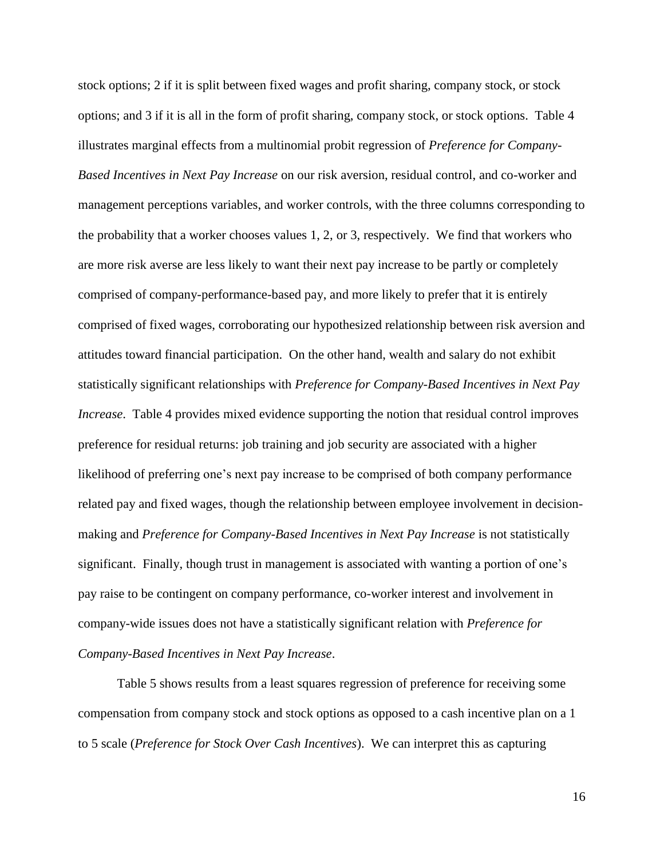stock options; 2 if it is split between fixed wages and profit sharing, company stock, or stock options; and 3 if it is all in the form of profit sharing, company stock, or stock options. Table 4 illustrates marginal effects from a multinomial probit regression of *Preference for Company-Based Incentives in Next Pay Increase* on our risk aversion, residual control, and co-worker and management perceptions variables, and worker controls, with the three columns corresponding to the probability that a worker chooses values 1, 2, or 3, respectively. We find that workers who are more risk averse are less likely to want their next pay increase to be partly or completely comprised of company-performance-based pay, and more likely to prefer that it is entirely comprised of fixed wages, corroborating our hypothesized relationship between risk aversion and attitudes toward financial participation. On the other hand, wealth and salary do not exhibit statistically significant relationships with *Preference for Company-Based Incentives in Next Pay Increase*. Table 4 provides mixed evidence supporting the notion that residual control improves preference for residual returns: job training and job security are associated with a higher likelihood of preferring one's next pay increase to be comprised of both company performance related pay and fixed wages, though the relationship between employee involvement in decisionmaking and *Preference for Company-Based Incentives in Next Pay Increase* is not statistically significant. Finally, though trust in management is associated with wanting a portion of one's pay raise to be contingent on company performance, co-worker interest and involvement in company-wide issues does not have a statistically significant relation with *Preference for Company-Based Incentives in Next Pay Increase*.

Table 5 shows results from a least squares regression of preference for receiving some compensation from company stock and stock options as opposed to a cash incentive plan on a 1 to 5 scale (*Preference for Stock Over Cash Incentives*). We can interpret this as capturing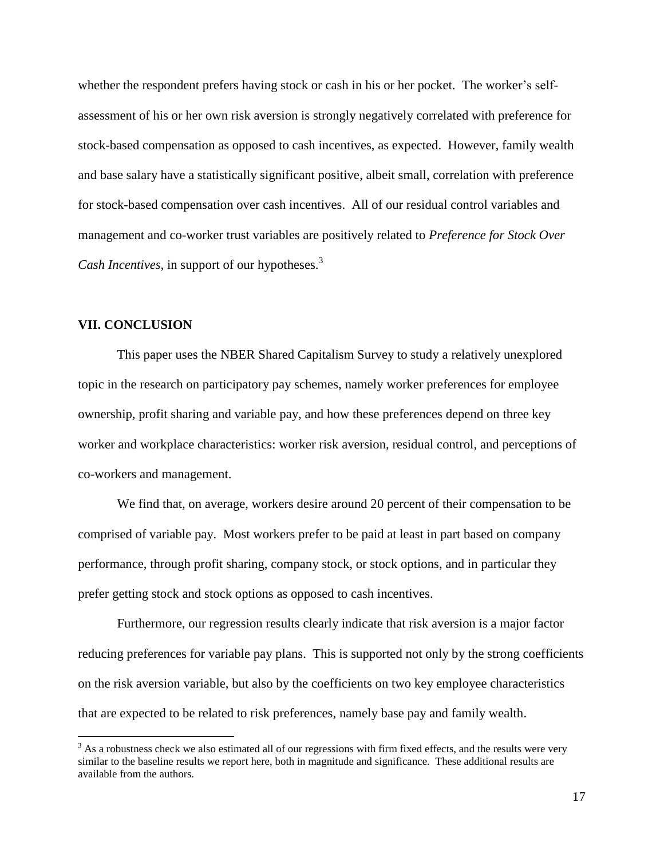whether the respondent prefers having stock or cash in his or her pocket. The worker's selfassessment of his or her own risk aversion is strongly negatively correlated with preference for stock-based compensation as opposed to cash incentives, as expected. However, family wealth and base salary have a statistically significant positive, albeit small, correlation with preference for stock-based compensation over cash incentives. All of our residual control variables and management and co-worker trust variables are positively related to *Preference for Stock Over Cash Incentives*, in support of our hypotheses.<sup>3</sup>

#### **VII. CONCLUSION**

 $\overline{a}$ 

This paper uses the NBER Shared Capitalism Survey to study a relatively unexplored topic in the research on participatory pay schemes, namely worker preferences for employee ownership, profit sharing and variable pay, and how these preferences depend on three key worker and workplace characteristics: worker risk aversion, residual control, and perceptions of co-workers and management.

We find that, on average, workers desire around 20 percent of their compensation to be comprised of variable pay. Most workers prefer to be paid at least in part based on company performance, through profit sharing, company stock, or stock options, and in particular they prefer getting stock and stock options as opposed to cash incentives.

Furthermore, our regression results clearly indicate that risk aversion is a major factor reducing preferences for variable pay plans. This is supported not only by the strong coefficients on the risk aversion variable, but also by the coefficients on two key employee characteristics that are expected to be related to risk preferences, namely base pay and family wealth.

 $3$  As a robustness check we also estimated all of our regressions with firm fixed effects, and the results were very similar to the baseline results we report here, both in magnitude and significance. These additional results are available from the authors.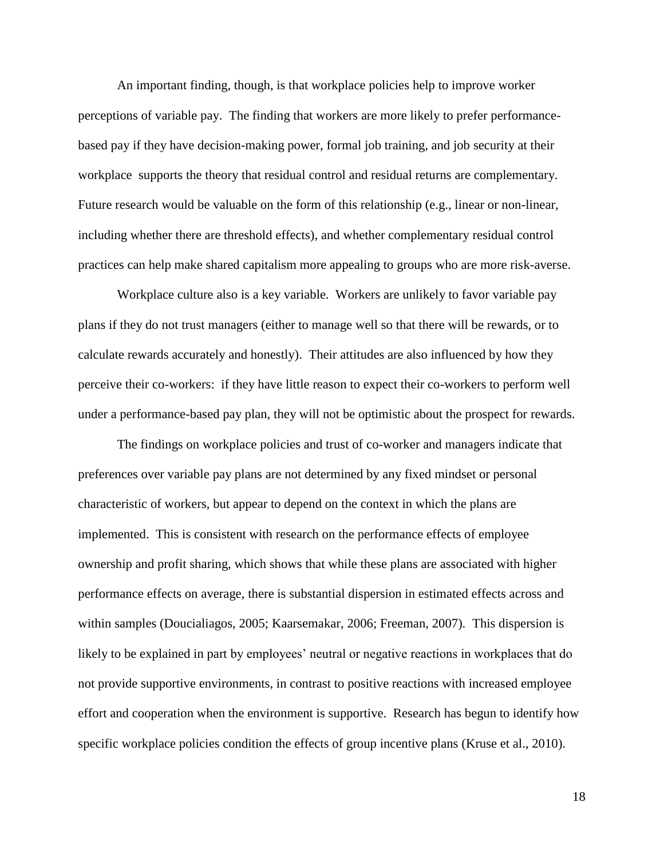An important finding, though, is that workplace policies help to improve worker perceptions of variable pay. The finding that workers are more likely to prefer performancebased pay if they have decision-making power, formal job training, and job security at their workplace supports the theory that residual control and residual returns are complementary. Future research would be valuable on the form of this relationship (e.g., linear or non-linear, including whether there are threshold effects), and whether complementary residual control practices can help make shared capitalism more appealing to groups who are more risk-averse.

Workplace culture also is a key variable. Workers are unlikely to favor variable pay plans if they do not trust managers (either to manage well so that there will be rewards, or to calculate rewards accurately and honestly). Their attitudes are also influenced by how they perceive their co-workers: if they have little reason to expect their co-workers to perform well under a performance-based pay plan, they will not be optimistic about the prospect for rewards.

The findings on workplace policies and trust of co-worker and managers indicate that preferences over variable pay plans are not determined by any fixed mindset or personal characteristic of workers, but appear to depend on the context in which the plans are implemented. This is consistent with research on the performance effects of employee ownership and profit sharing, which shows that while these plans are associated with higher performance effects on average, there is substantial dispersion in estimated effects across and within samples (Doucialiagos, 2005; Kaarsemakar, 2006; Freeman, 2007). This dispersion is likely to be explained in part by employees' neutral or negative reactions in workplaces that do not provide supportive environments, in contrast to positive reactions with increased employee effort and cooperation when the environment is supportive. Research has begun to identify how specific workplace policies condition the effects of group incentive plans (Kruse et al., 2010).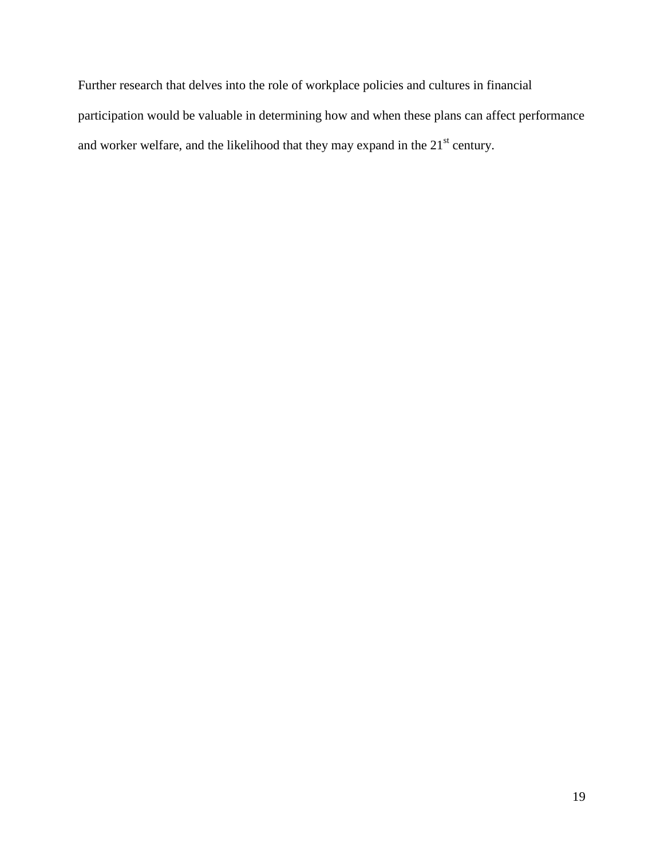Further research that delves into the role of workplace policies and cultures in financial participation would be valuable in determining how and when these plans can affect performance and worker welfare, and the likelihood that they may expand in the  $21<sup>st</sup>$  century.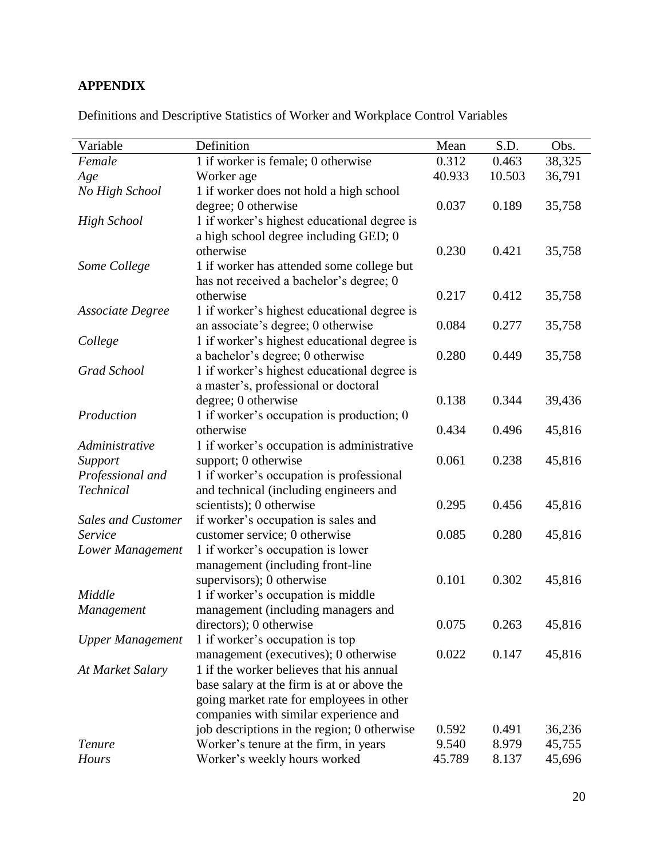#### **APPENDIX**

| Variable                  | Definition                                  | Mean   | S.D.   | Obs.   |
|---------------------------|---------------------------------------------|--------|--------|--------|
| Female                    | 1 if worker is female; 0 otherwise          | 0.312  | 0.463  | 38,325 |
|                           |                                             | 40.933 | 10.503 | 36,791 |
| Age                       | Worker age                                  |        |        |        |
| No High School            | 1 if worker does not hold a high school     |        |        |        |
|                           | degree; 0 otherwise                         | 0.037  | 0.189  | 35,758 |
| <b>High School</b>        | 1 if worker's highest educational degree is |        |        |        |
|                           | a high school degree including GED; 0       |        |        |        |
|                           | otherwise                                   | 0.230  | 0.421  | 35,758 |
| Some College              | 1 if worker has attended some college but   |        |        |        |
|                           | has not received a bachelor's degree; 0     |        |        |        |
|                           | otherwise                                   | 0.217  | 0.412  | 35,758 |
| <b>Associate Degree</b>   | 1 if worker's highest educational degree is |        |        |        |
|                           | an associate's degree; 0 otherwise          | 0.084  | 0.277  | 35,758 |
| College                   | 1 if worker's highest educational degree is |        |        |        |
|                           | a bachelor's degree; 0 otherwise            | 0.280  | 0.449  | 35,758 |
| <b>Grad School</b>        | 1 if worker's highest educational degree is |        |        |        |
|                           | a master's, professional or doctoral        |        |        |        |
|                           | degree; 0 otherwise                         | 0.138  | 0.344  | 39,436 |
| Production                | 1 if worker's occupation is production; 0   |        |        |        |
|                           | otherwise                                   | 0.434  | 0.496  | 45,816 |
| Administrative            | 1 if worker's occupation is administrative  |        |        |        |
| Support                   | support; 0 otherwise                        | 0.061  | 0.238  | 45,816 |
| Professional and          | 1 if worker's occupation is professional    |        |        |        |
| Technical                 | and technical (including engineers and      |        |        |        |
|                           | scientists); 0 otherwise                    | 0.295  | 0.456  | 45,816 |
| <b>Sales and Customer</b> | if worker's occupation is sales and         |        |        |        |
| Service                   | customer service; 0 otherwise               | 0.085  | 0.280  | 45,816 |
| Lower Management          | 1 if worker's occupation is lower           |        |        |        |
|                           | management (including front-line            |        |        |        |
|                           | supervisors); 0 otherwise                   | 0.101  | 0.302  | 45,816 |
| Middle                    | 1 if worker's occupation is middle          |        |        |        |
| Management                | management (including managers and          |        |        |        |
|                           | directors); 0 otherwise                     | 0.075  | 0.263  | 45,816 |
| <b>Upper Management</b>   | 1 if worker's occupation is top             |        |        |        |
|                           | management (executives); 0 otherwise        | 0.022  | 0.147  | 45,816 |
| At Market Salary          | 1 if the worker believes that his annual    |        |        |        |
|                           | base salary at the firm is at or above the  |        |        |        |
|                           | going market rate for employees in other    |        |        |        |
|                           | companies with similar experience and       |        |        |        |
|                           | job descriptions in the region; 0 otherwise | 0.592  | 0.491  | 36,236 |
| Tenure                    | Worker's tenure at the firm, in years       | 9.540  | 8.979  | 45,755 |
| Hours                     | Worker's weekly hours worked                | 45.789 | 8.137  | 45,696 |

Definitions and Descriptive Statistics of Worker and Workplace Control Variables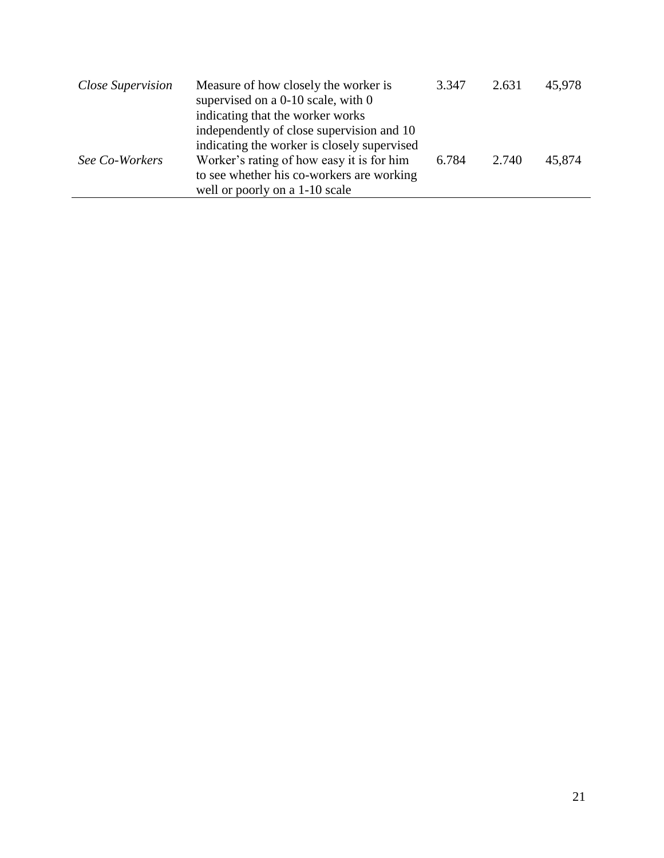| <b>Close Supervision</b> | Measure of how closely the worker is<br>supervised on a 0-10 scale, with 0<br>indicating that the worker works                                                                                                       | 3.347 | 2.631 | 45,978 |
|--------------------------|----------------------------------------------------------------------------------------------------------------------------------------------------------------------------------------------------------------------|-------|-------|--------|
| See Co-Workers           | independently of close supervision and 10<br>indicating the worker is closely supervised<br>Worker's rating of how easy it is for him<br>to see whether his co-workers are working<br>well or poorly on a 1-10 scale | 6.784 | 2.740 | 45,874 |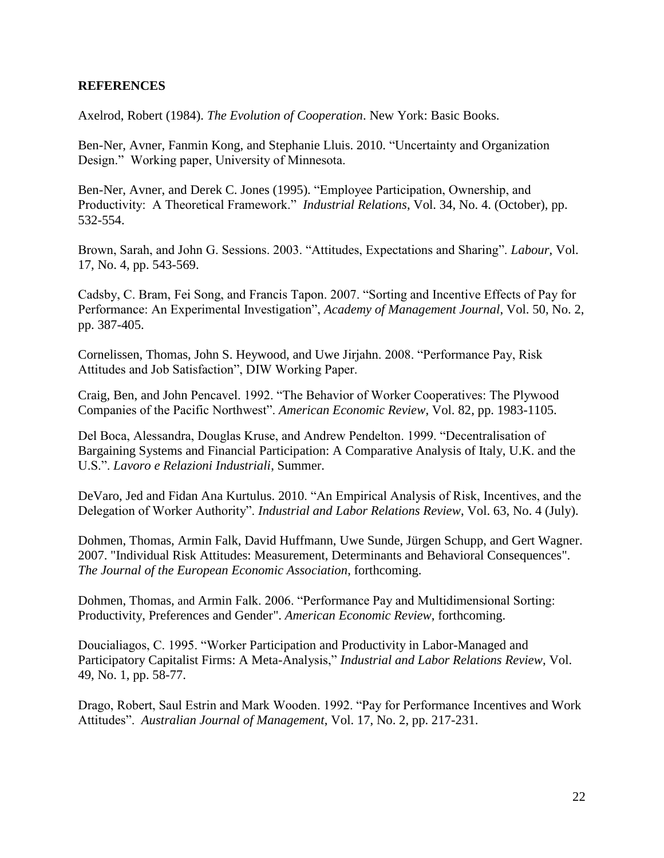#### **REFERENCES**

Axelrod, Robert (1984). *The Evolution of Cooperation*. New York: Basic Books.

Ben-Ner, Avner, Fanmin Kong, and Stephanie Lluis. 2010. "Uncertainty and Organization Design." Working paper, University of Minnesota.

Ben-Ner, Avner, and Derek C. Jones (1995). "Employee Participation, Ownership, and Productivity: A Theoretical Framework." *Industrial Relations*, Vol. 34, No. 4. (October), pp. 532-554.

Brown, Sarah, and John G. Sessions. 2003. "Attitudes, Expectations and Sharing". *Labour*, Vol. 17, No. 4, pp. 543-569.

Cadsby, C. Bram, Fei Song, and Francis Tapon. 2007. "Sorting and Incentive Effects of Pay for Performance: An Experimental Investigation", *Academy of Management Journal*, Vol. 50, No. 2, pp. 387-405.

Cornelissen, Thomas, John S. Heywood, and Uwe Jirjahn. 2008. "Performance Pay, Risk Attitudes and Job Satisfaction", DIW Working Paper.

Craig, Ben, and John Pencavel. 1992. "The Behavior of Worker Cooperatives: The Plywood Companies of the Pacific Northwest". *American Economic Review*, Vol. 82, pp. 1983-1105.

Del Boca, Alessandra, Douglas Kruse, and Andrew Pendelton. 1999. "Decentralisation of Bargaining Systems and Financial Participation: A Comparative Analysis of Italy, U.K. and the U.S.‖. *Lavoro e Relazioni Industriali*, Summer.

DeVaro, Jed and Fidan Ana Kurtulus. 2010. "An Empirical Analysis of Risk, Incentives, and the Delegation of Worker Authority". *Industrial and Labor Relations Review*, Vol. 63, No. 4 (July).

Dohmen, Thomas, Armin Falk, David Huffmann, Uwe Sunde, Jürgen Schupp, and Gert Wagner. 2007. ["Individual Risk Attitudes: Measurement, Determinants and Behavioral Consequences"](http://www.swarthmore.edu/Documents/academics/economics/huffman/Individual_risk_attitudes_JEEA.pdf). *The Journal of the European Economic Association*, forthcoming.

Dohmen, Thomas, and Armin Falk. 2006. "Performance Pay and Multidimensional Sorting: Productivity, Preferences and Gender". *American Economic Review*, forthcoming.

Doucialiagos, C. 1995. "Worker Participation and Productivity in Labor-Managed and Participatory Capitalist Firms: A Meta-Analysis," *Industrial and Labor Relations Review*, Vol. 49, No. 1, pp. 58-77.

Drago, Robert, Saul Estrin and Mark Wooden. 1992. "Pay for Performance Incentives and Work Attitudes". Australian Journal of Management, Vol. 17, No. 2, pp. 217-231.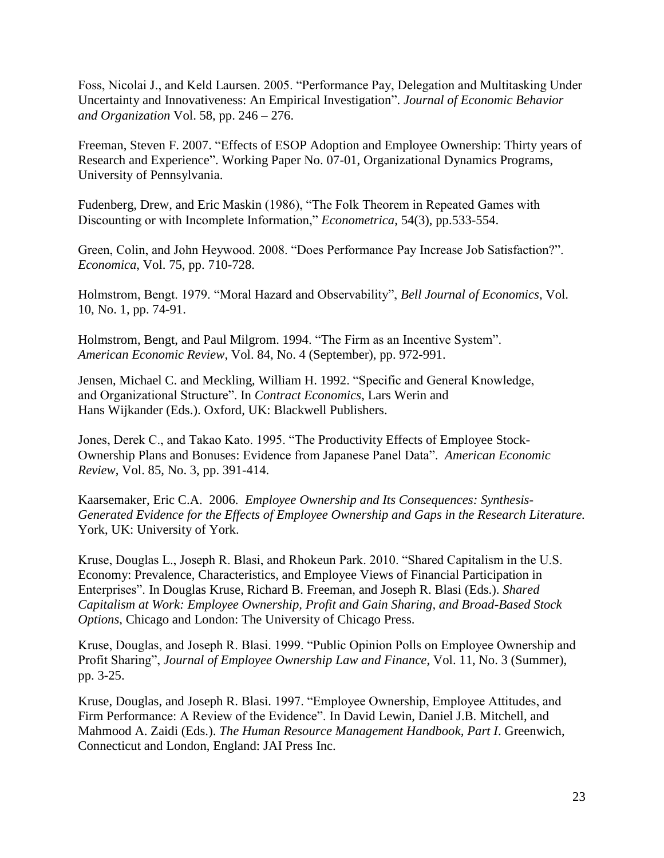Foss, Nicolai J., and Keld Laursen. 2005. "Performance Pay, Delegation and Multitasking Under Uncertainty and Innovativeness: An Empirical Investigation". *Journal of Economic Behavior and Organization* Vol. 58, pp. 246 – 276.

Freeman, Steven F. 2007. "Effects of ESOP Adoption and Employee Ownership: Thirty years of Research and Experience". Working Paper No. 07-01, Organizational Dynamics Programs, University of Pennsylvania.

Fudenberg, Drew, and Eric Maskin (1986), "The Folk Theorem in Repeated Games with Discounting or with Incomplete Information," *Econometrica*, 54(3), pp.533-554.

Green, Colin, and John Heywood. 2008. "Does Performance Pay Increase Job Satisfaction?". *Economica*, Vol. 75, pp. 710-728.

Holmstrom, Bengt. 1979. "Moral Hazard and Observability", *Bell Journal of Economics*, Vol. 10, No. 1, pp. 74-91.

Holmstrom, Bengt, and Paul Milgrom. 1994. "The Firm as an Incentive System". *American Economic Review*, Vol. 84, No. 4 (September), pp. 972-991.

Jensen, Michael C. and Meckling, William H. 1992. "Specific and General Knowledge, and Organizational Structure". In *Contract Economics*, Lars Werin and Hans Wijkander (Eds.). Oxford, UK: Blackwell Publishers.

Jones, Derek C., and Takao Kato. 1995. "The Productivity Effects of Employee Stock-Ownership Plans and Bonuses: Evidence from Japanese Panel Data". *American Economic Review*, Vol. 85, No. 3, pp. 391-414.

Kaarsemaker, Eric C.A. 2006. *Employee Ownership and Its Consequences: Synthesis-Generated Evidence for the Effects of Employee Ownership and Gaps in the Research Literature.* York, UK: University of York.

Kruse, Douglas L., Joseph R. Blasi, and Rhokeun Park. 2010. "Shared Capitalism in the U.S. Economy: Prevalence, Characteristics, and Employee Views of Financial Participation in Enterprises‖. In Douglas Kruse, Richard B. Freeman, and Joseph R. Blasi (Eds.). *Shared Capitalism at Work: Employee Ownership, Profit and Gain Sharing, and Broad-Based Stock Options*, Chicago and London: The University of Chicago Press.

Kruse, Douglas, and Joseph R. Blasi. 1999. "Public Opinion Polls on Employee Ownership and Profit Sharing", *Journal of Employee Ownership Law and Finance*, Vol. 11, No. 3 (Summer), pp. 3-25.

Kruse, Douglas, and Joseph R. Blasi. 1997. "Employee Ownership, Employee Attitudes, and Firm Performance: A Review of the Evidence". In David Lewin, Daniel J.B. Mitchell, and Mahmood A. Zaidi (Eds.). *The Human Resource Management Handbook, Part I*. Greenwich, Connecticut and London, England: JAI Press Inc.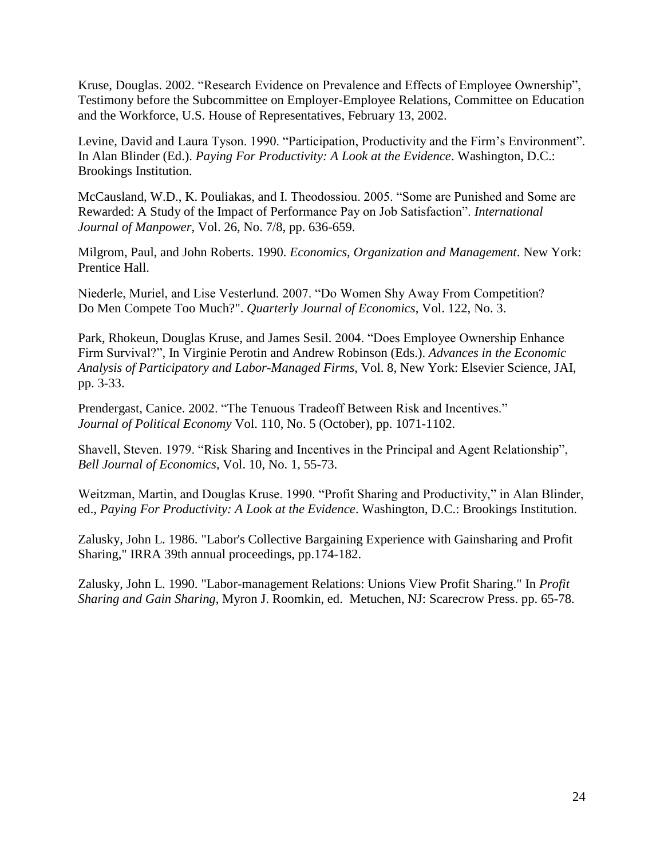Kruse, Douglas. 2002. "Research Evidence on Prevalence and Effects of Employee Ownership", Testimony before the Subcommittee on Employer-Employee Relations, Committee on Education and the Workforce, U.S. House of Representatives, February 13, 2002.

Levine, David and Laura Tyson. 1990. "Participation, Productivity and the Firm's Environment". In Alan Blinder (Ed.). *Paying For Productivity: A Look at the Evidence*. Washington, D.C.: Brookings Institution.

McCausland, W.D., K. Pouliakas, and I. Theodossiou. 2005. "Some are Punished and Some are Rewarded: A Study of the Impact of Performance Pay on Job Satisfaction". *International Journal of Manpower*, Vol. 26, No. 7/8, pp. 636-659.

Milgrom, Paul, and John Roberts. 1990. *Economics, Organization and Management*. New York: Prentice Hall.

Niederle, Muriel, and Lise Vesterlund. 2007. "Do Women Shy Away From Competition? Do Men Compete Too Much?". *Quarterly Journal of Economics*, Vol. 122, No. 3.

Park, Rhokeun, Douglas Kruse, and James Sesil. 2004. "Does Employee Ownership Enhance Firm Survival?‖, In Virginie Perotin and Andrew Robinson (Eds.). *Advances in the Economic Analysis of Participatory and Labor-Managed Firms*, Vol. 8, New York: Elsevier Science, JAI, pp. 3-33.

Prendergast, Canice. 2002. "The Tenuous Tradeoff Between Risk and Incentives." *Journal of Political Economy* Vol. 110, No. 5 (October), pp. 1071-1102.

Shavell, Steven. 1979. "Risk Sharing and Incentives in the Principal and Agent Relationship", *Bell Journal of Economics*, Vol. 10, No. 1, 55-73.

Weitzman, Martin, and Douglas Kruse. 1990. "Profit Sharing and Productivity," in Alan Blinder, ed., *Paying For Productivity: A Look at the Evidence*. Washington, D.C.: Brookings Institution.

Zalusky, John L. 1986. "Labor's Collective Bargaining Experience with Gainsharing and Profit Sharing," IRRA 39th annual proceedings, pp.174-182.

Zalusky, John L. 1990. "Labor-management Relations: Unions View Profit Sharing." In *Profit Sharing and Gain Sharing*, Myron J. Roomkin, ed. Metuchen, NJ: Scarecrow Press. pp. 65-78.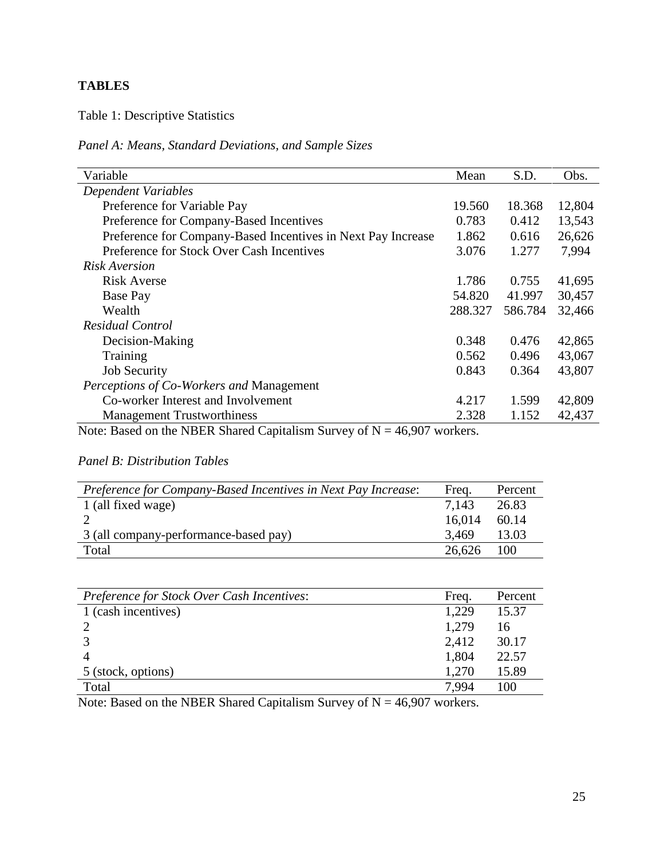#### **TABLES**

Table 1: Descriptive Statistics

*Panel A: Means, Standard Deviations, and Sample Sizes*

| Variable                                                                                                                                                                                                                                                                                                                        | Mean     | S.D.    | Obs.   |
|---------------------------------------------------------------------------------------------------------------------------------------------------------------------------------------------------------------------------------------------------------------------------------------------------------------------------------|----------|---------|--------|
| Dependent Variables                                                                                                                                                                                                                                                                                                             |          |         |        |
| Preference for Variable Pay                                                                                                                                                                                                                                                                                                     | 19.560   | 18.368  | 12,804 |
| Preference for Company-Based Incentives                                                                                                                                                                                                                                                                                         | 0.783    | 0.412   | 13,543 |
| Preference for Company-Based Incentives in Next Pay Increase                                                                                                                                                                                                                                                                    | 1.862    | 0.616   | 26,626 |
| Preference for Stock Over Cash Incentives                                                                                                                                                                                                                                                                                       | 3.076    | 1.277   | 7,994  |
| <b>Risk Aversion</b>                                                                                                                                                                                                                                                                                                            |          |         |        |
| <b>Risk Averse</b>                                                                                                                                                                                                                                                                                                              | 1.786    | 0.755   | 41,695 |
| Base Pay                                                                                                                                                                                                                                                                                                                        | 54.820   | 41.997  | 30,457 |
| Wealth                                                                                                                                                                                                                                                                                                                          | 288.327  | 586.784 | 32,466 |
| Residual Control                                                                                                                                                                                                                                                                                                                |          |         |        |
| Decision-Making                                                                                                                                                                                                                                                                                                                 | 0.348    | 0.476   | 42,865 |
| Training                                                                                                                                                                                                                                                                                                                        | 0.562    | 0.496   | 43,067 |
| <b>Job Security</b>                                                                                                                                                                                                                                                                                                             | 0.843    | 0.364   | 43,807 |
| <i>Perceptions of Co-Workers and Management</i>                                                                                                                                                                                                                                                                                 |          |         |        |
| Co-worker Interest and Involvement                                                                                                                                                                                                                                                                                              | 4.217    | 1.599   | 42,809 |
| <b>Management Trustworthiness</b>                                                                                                                                                                                                                                                                                               | 2.328    | 1.152   | 42,437 |
| $\mathbf{M}$ and $\mathbf{M}$ and $\mathbf{M}$ and $\mathbf{M}$ and $\mathbf{M}$ and $\mathbf{M}$ and $\mathbf{M}$ and $\mathbf{M}$ and $\mathbf{M}$ and $\mathbf{M}$ and $\mathbf{M}$ and $\mathbf{M}$ and $\mathbf{M}$ and $\mathbf{M}$ and $\mathbf{M}$ and $\mathbf{M}$ and $\mathbf{M}$ and<br>C N<br>$\lambda \in \Omega$ | $\sim$ 1 |         |        |

Note: Based on the NBER Shared Capitalism Survey of  $N = 46,907$  workers.

#### *Panel B: Distribution Tables*

| Preference for Company-Based Incentives in Next Pay Increase: | Freq.  | Percent |
|---------------------------------------------------------------|--------|---------|
| 1 (all fixed wage)                                            | 7.143  | 26.83   |
|                                                               | 16.014 | 60.14   |
| 3 (all company-performance-based pay)                         | 3.469  | 13.03   |
| Total                                                         | 26,626 | 100     |

| Preference for Stock Over Cash Incentives: | Freq. | Percent |
|--------------------------------------------|-------|---------|
| 1 (cash incentives)                        | 1,229 | 15.37   |
|                                            | 1,279 | 16      |
|                                            | 2,412 | 30.17   |
|                                            | 1,804 | 22.57   |
| 5 (stock, options)                         | 1.270 | 15.89   |
| Total                                      | 7.994 | 100     |

Note: Based on the NBER Shared Capitalism Survey of  $N = 46,907$  workers.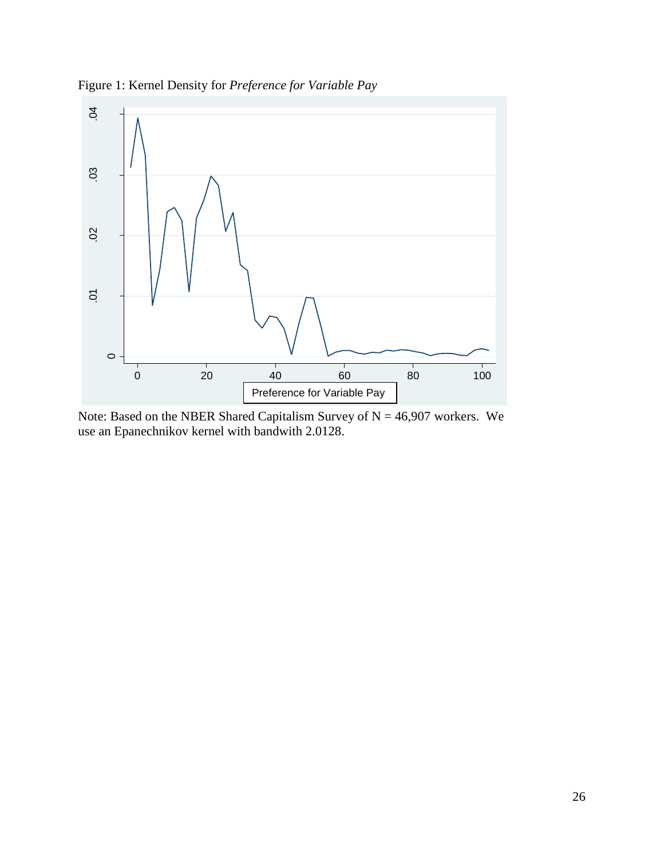

Figure 1: Kernel Density for *Preference for Variable Pay*

Note: Based on the NBER Shared Capitalism Survey of  $N = 46,907$  workers. We use an Epanechnikov kernel with bandwith 2.0128.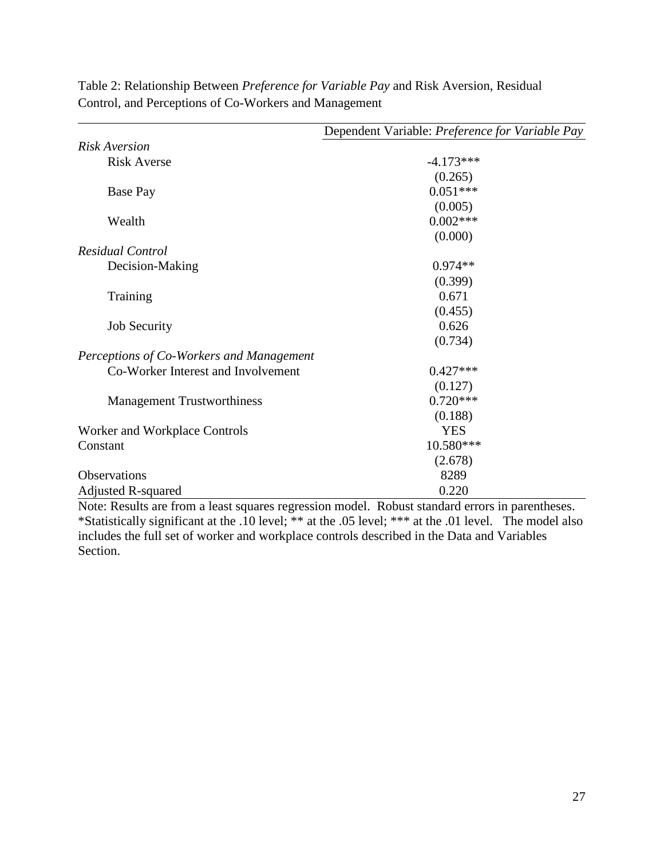|                                          | Dependent Variable: Preference for Variable Pay |
|------------------------------------------|-------------------------------------------------|
| <b>Risk Aversion</b>                     |                                                 |
| <b>Risk Averse</b>                       | $-4.173***$                                     |
|                                          | (0.265)                                         |
| <b>Base Pay</b>                          | $0.051***$                                      |
|                                          | (0.005)                                         |
| Wealth                                   | $0.002***$                                      |
|                                          | (0.000)                                         |
| <b>Residual Control</b>                  |                                                 |
| Decision-Making                          | $0.974**$                                       |
|                                          | (0.399)                                         |
| Training                                 | 0.671                                           |
|                                          | (0.455)                                         |
| <b>Job Security</b>                      | 0.626                                           |
|                                          | (0.734)                                         |
| Perceptions of Co-Workers and Management |                                                 |
| Co-Worker Interest and Involvement       | $0.427***$                                      |
|                                          | (0.127)                                         |
| <b>Management Trustworthiness</b>        | $0.720***$                                      |
|                                          | (0.188)                                         |
| Worker and Workplace Controls            | <b>YES</b>                                      |
| Constant                                 | 10.580***                                       |
|                                          | (2.678)                                         |
| Observations                             | 8289                                            |
| <b>Adjusted R-squared</b>                | 0.220                                           |

Table 2: Relationship Between *Preference for Variable Pay* and Risk Aversion, Residual Control, and Perceptions of Co-Workers and Management

Note: Results are from a least squares regression model. Robust standard errors in parentheses. \*Statistically significant at the .10 level; \*\* at the .05 level; \*\*\* at the .01 level. The model also includes the full set of worker and workplace controls described in the Data and Variables Section.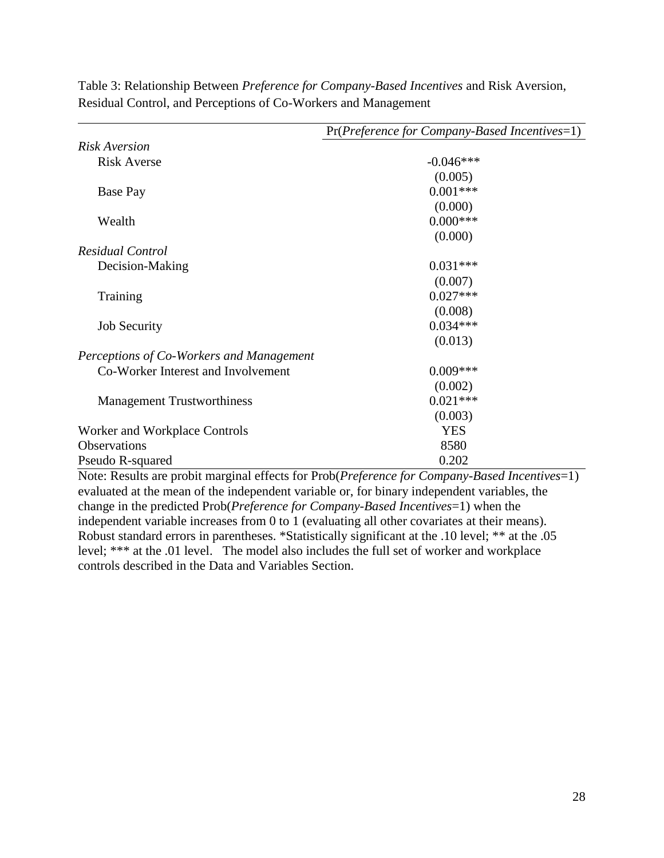|                                          | Pr(Preference for Company-Based Incentives=1) |
|------------------------------------------|-----------------------------------------------|
| <b>Risk Aversion</b>                     |                                               |
| <b>Risk Averse</b>                       | $-0.046***$                                   |
|                                          | (0.005)                                       |
| <b>Base Pay</b>                          | $0.001***$                                    |
|                                          | (0.000)                                       |
| Wealth                                   | $0.000***$                                    |
|                                          | (0.000)                                       |
| <b>Residual Control</b>                  |                                               |
| Decision-Making                          | $0.031***$                                    |
|                                          | (0.007)                                       |
| Training                                 | $0.027***$                                    |
|                                          | (0.008)                                       |
| <b>Job Security</b>                      | $0.034***$                                    |
|                                          | (0.013)                                       |
| Perceptions of Co-Workers and Management |                                               |
| Co-Worker Interest and Involvement       | $0.009***$                                    |
|                                          | (0.002)                                       |
| <b>Management Trustworthiness</b>        | $0.021***$                                    |
|                                          | (0.003)                                       |
| Worker and Workplace Controls            | <b>YES</b>                                    |
| Observations                             | 8580                                          |
| Pseudo R-squared                         | 0.202                                         |

Table 3: Relationship Between *Preference for Company-Based Incentives* and Risk Aversion, Residual Control, and Perceptions of Co-Workers and Management

Note: Results are probit marginal effects for Prob(*Preference for Company-Based Incentives*=1) evaluated at the mean of the independent variable or, for binary independent variables, the change in the predicted Prob(*Preference for Company-Based Incentives*=1) when the independent variable increases from 0 to 1 (evaluating all other covariates at their means). Robust standard errors in parentheses. \*Statistically significant at the .10 level; \*\* at the .05 level; \*\*\* at the .01 level. The model also includes the full set of worker and workplace controls described in the Data and Variables Section.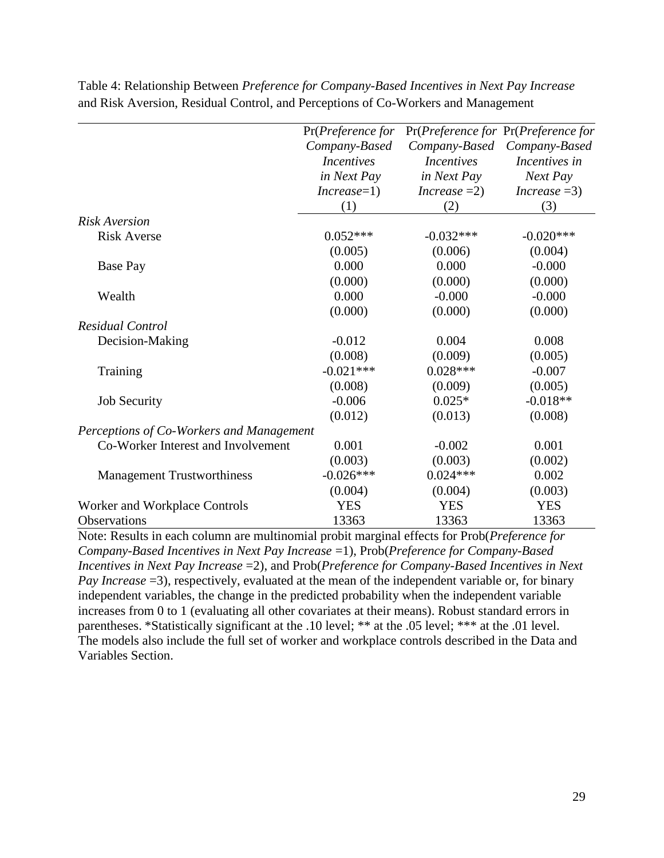|                                          | Pr(Preference for |                   | Pr(Preference for Pr(Preference for |
|------------------------------------------|-------------------|-------------------|-------------------------------------|
|                                          | Company-Based     | Company-Based     | Company-Based                       |
|                                          | <i>Incentives</i> | <i>Incentives</i> | Incentives in                       |
|                                          | in Next Pay       | in Next Pay       | Next Pay                            |
|                                          | $Increase=1)$     | $Increase = 2)$   | $Increase = 3)$                     |
|                                          | (1)               | (2)               | (3)                                 |
| <b>Risk Aversion</b>                     |                   |                   |                                     |
| <b>Risk Averse</b>                       | $0.052***$        | $-0.032***$       | $-0.020***$                         |
|                                          | (0.005)           | (0.006)           | (0.004)                             |
| <b>Base Pay</b>                          | 0.000             | 0.000             | $-0.000$                            |
|                                          | (0.000)           | (0.000)           | (0.000)                             |
| Wealth                                   | 0.000             | $-0.000$          | $-0.000$                            |
|                                          | (0.000)           | (0.000)           | (0.000)                             |
| <b>Residual Control</b>                  |                   |                   |                                     |
| Decision-Making                          | $-0.012$          | 0.004             | 0.008                               |
|                                          | (0.008)           | (0.009)           | (0.005)                             |
| Training                                 | $-0.021***$       | $0.028***$        | $-0.007$                            |
|                                          | (0.008)           | (0.009)           | (0.005)                             |
| <b>Job Security</b>                      | $-0.006$          | $0.025*$          | $-0.018**$                          |
|                                          | (0.012)           | (0.013)           | (0.008)                             |
| Perceptions of Co-Workers and Management |                   |                   |                                     |
| Co-Worker Interest and Involvement       | 0.001             | $-0.002$          | 0.001                               |
|                                          | (0.003)           | (0.003)           | (0.002)                             |
| <b>Management Trustworthiness</b>        | $-0.026***$       | $0.024***$        | 0.002                               |
|                                          | (0.004)           | (0.004)           | (0.003)                             |
| Worker and Workplace Controls            | <b>YES</b>        | <b>YES</b>        | <b>YES</b>                          |
| Observations                             | 13363             | 13363             | 13363                               |

Table 4: Relationship Between *Preference for Company-Based Incentives in Next Pay Increase* and Risk Aversion, Residual Control, and Perceptions of Co-Workers and Management

Note: Results in each column are multinomial probit marginal effects for Prob(*Preference for Company-Based Incentives in Next Pay Increase* =1), Prob(*Preference for Company-Based Incentives in Next Pay Increase* =2), and Prob(*Preference for Company-Based Incentives in Next Pay Increase* = 3), respectively, evaluated at the mean of the independent variable or, for binary independent variables, the change in the predicted probability when the independent variable increases from 0 to 1 (evaluating all other covariates at their means). Robust standard errors in parentheses. \*Statistically significant at the .10 level; \*\* at the .05 level; \*\*\* at the .01 level. The models also include the full set of worker and workplace controls described in the Data and Variables Section.